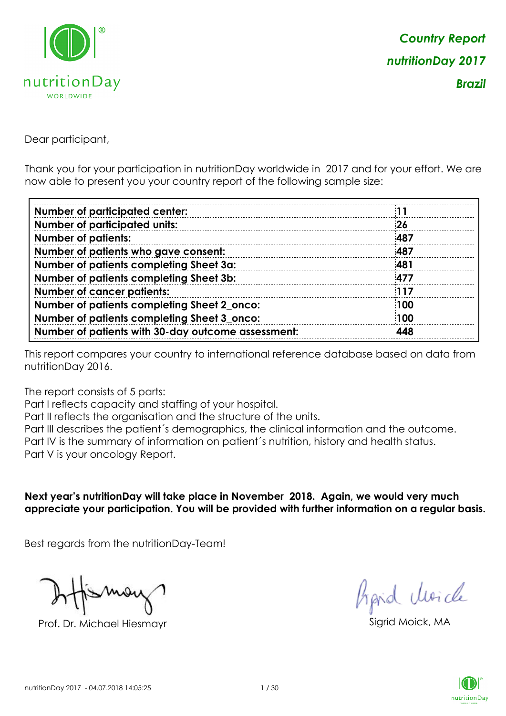

Dear participant,

Thank you for your participation in nutritionDay worldwide in 2017 and for your effort. We are now able to present you your country report of the following sample size:

| <b>Number of participated center:</b>              |     |
|----------------------------------------------------|-----|
| <b>Number of participated units:</b>               | 26  |
| <b>Number of patients:</b>                         | 487 |
| Number of patients who gave consent:               | 487 |
| Number of patients completing Sheet 3a:            | 481 |
| Number of patients completing Sheet 3b:            | 477 |
| <b>Number of cancer patients:</b>                  | 117 |
| Number of patients completing Sheet 2_onco:        | 100 |
| Number of patients completing Sheet 3_onco:        | 100 |
| Number of patients with 30-day outcome assessment: | 448 |

This report compares your country to international reference database based on data from nutritionDay 2016.

The report consists of 5 parts:

Part I reflects capacity and staffing of your hospital.

Part II reflects the organisation and the structure of the units.

Part III describes the patient´s demographics, the clinical information and the outcome.

Part IV is the summary of information on patient´s nutrition, history and health status.

Part V is your oncology Report.

**Next year's nutritionDay will take place in November 2018. Again, we would very much appreciate your participation. You will be provided with further information on a regular basis.**

Best regards from the nutritionDay-Team!

Prof. Dr. Michael Hiesmayr Sigrid Moick, MA

fraid Moicle

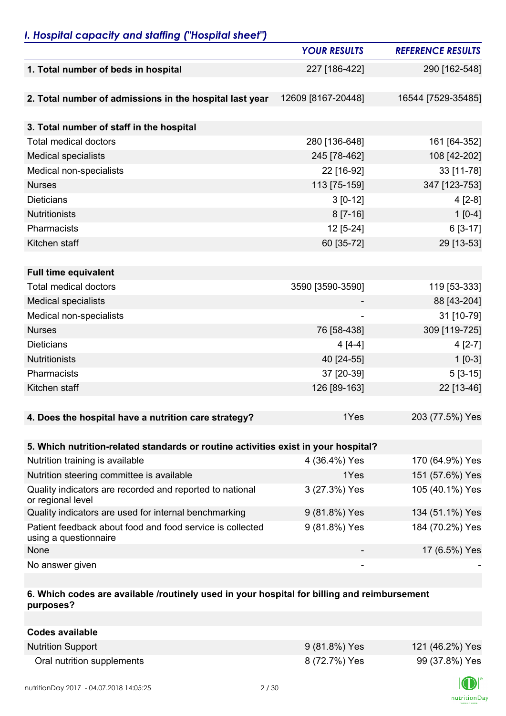## *I. Hospital capacity and staffing ("Hospital sheet")*

|                                                                                    | <b>YOUR RESULTS</b> | <b>REFERENCE RESULTS</b> |
|------------------------------------------------------------------------------------|---------------------|--------------------------|
| 1. Total number of beds in hospital                                                | 227 [186-422]       | 290 [162-548]            |
|                                                                                    |                     |                          |
| 2. Total number of admissions in the hospital last year                            | 12609 [8167-20448]  | 16544 [7529-35485]       |
|                                                                                    |                     |                          |
| 3. Total number of staff in the hospital                                           |                     |                          |
| <b>Total medical doctors</b>                                                       | 280 [136-648]       | 161 [64-352]             |
| <b>Medical specialists</b>                                                         | 245 [78-462]        | 108 [42-202]             |
| Medical non-specialists                                                            | 22 [16-92]          | 33 [11-78]               |
| <b>Nurses</b>                                                                      | 113 [75-159]        | 347 [123-753]            |
| <b>Dieticians</b>                                                                  | $3 [0-12]$          | $4[2-8]$                 |
| <b>Nutritionists</b>                                                               | $8 [7-16]$          | $1[0-4]$                 |
| Pharmacists                                                                        | 12 [5-24]           | 6 [3-17]                 |
| Kitchen staff                                                                      | 60 [35-72]          | 29 [13-53]               |
|                                                                                    |                     |                          |
| <b>Full time equivalent</b>                                                        |                     |                          |
| <b>Total medical doctors</b>                                                       | 3590 [3590-3590]    | 119 [53-333]             |
| <b>Medical specialists</b>                                                         |                     | 88 [43-204]              |
| Medical non-specialists                                                            |                     | 31 [10-79]               |
| <b>Nurses</b>                                                                      | 76 [58-438]         | 309 [119-725]            |
| <b>Dieticians</b>                                                                  | $4[4-4]$            | $4[2-7]$                 |
| <b>Nutritionists</b>                                                               | 40 [24-55]          | $1[0-3]$                 |
| Pharmacists                                                                        | 37 [20-39]          | $5[3-15]$                |
| Kitchen staff                                                                      | 126 [89-163]        | 22 [13-46]               |
|                                                                                    |                     |                          |
| 4. Does the hospital have a nutrition care strategy?                               | 1Yes                | 203 (77.5%) Yes          |
|                                                                                    |                     |                          |
| 5. Which nutrition-related standards or routine activities exist in your hospital? |                     |                          |
| Nutrition training is available                                                    | 4 (36.4%) Yes       | 170 (64.9%) Yes          |
| Nutrition steering committee is available                                          | 1Yes                | 151 (57.6%) Yes          |
| Quality indicators are recorded and reported to national<br>or regional level      | 3 (27.3%) Yes       | 105 (40.1%) Yes          |
| Quality indicators are used for internal benchmarking                              | 9 (81.8%) Yes       | 134 (51.1%) Yes          |
| Patient feedback about food and food service is collected<br>using a questionnaire | 9 (81.8%) Yes       | 184 (70.2%) Yes          |
| None                                                                               |                     | 17 (6.5%) Yes            |
| No answer given                                                                    |                     |                          |

### **6. Which codes are available /routinely used in your hospital for billing and reimbursement purposes?**

| <b>Codes available</b>     |               |                 |
|----------------------------|---------------|-----------------|
| <b>Nutrition Support</b>   | 9 (81.8%) Yes | 121 (46.2%) Yes |
| Oral nutrition supplements | 8 (72.7%) Yes | 99 (37.8%) Yes  |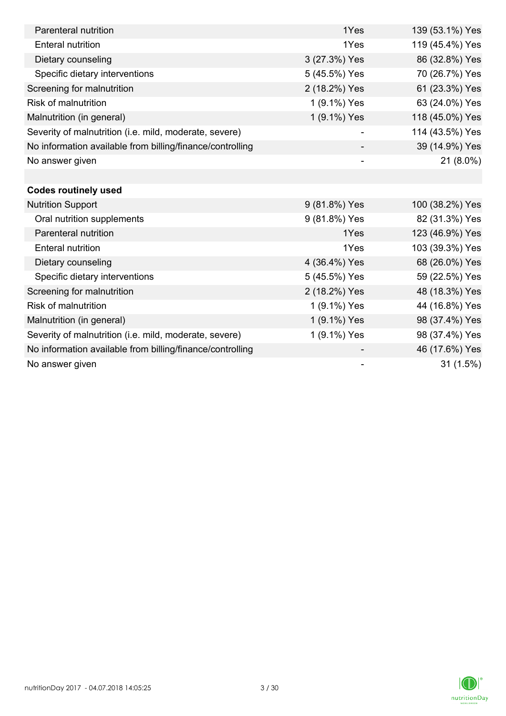| Parenteral nutrition                                      | 1Yes                     | 139 (53.1%) Yes |
|-----------------------------------------------------------|--------------------------|-----------------|
| <b>Enteral nutrition</b>                                  | 1Yes                     | 119 (45.4%) Yes |
| Dietary counseling                                        | 3 (27.3%) Yes            | 86 (32.8%) Yes  |
| Specific dietary interventions                            | 5 (45.5%) Yes            | 70 (26.7%) Yes  |
| Screening for malnutrition                                | 2 (18.2%) Yes            | 61 (23.3%) Yes  |
| <b>Risk of malnutrition</b>                               | 1 (9.1%) Yes             | 63 (24.0%) Yes  |
| Malnutrition (in general)                                 | 1 (9.1%) Yes             | 118 (45.0%) Yes |
| Severity of malnutrition (i.e. mild, moderate, severe)    |                          | 114 (43.5%) Yes |
| No information available from billing/finance/controlling |                          | 39 (14.9%) Yes  |
| No answer given                                           | $\overline{\phantom{0}}$ | 21 (8.0%)       |
|                                                           |                          |                 |
| <b>Codes routinely used</b>                               |                          |                 |
| <b>Nutrition Support</b>                                  | 9 (81.8%) Yes            | 100 (38.2%) Yes |
| Oral nutrition supplements                                | 9 (81.8%) Yes            | 82 (31.3%) Yes  |
| Parenteral nutrition                                      | 1Yes                     | 123 (46.9%) Yes |
| <b>Enteral nutrition</b>                                  | 1Yes                     | 103 (39.3%) Yes |
| Dietary counseling                                        | 4 (36.4%) Yes            | 68 (26.0%) Yes  |
| Specific dietary interventions                            | 5 (45.5%) Yes            | 59 (22.5%) Yes  |
| Screening for malnutrition                                | 2 (18.2%) Yes            | 48 (18.3%) Yes  |
| <b>Risk of malnutrition</b>                               | 1 (9.1%) Yes             | 44 (16.8%) Yes  |
| Malnutrition (in general)                                 | 1 (9.1%) Yes             | 98 (37.4%) Yes  |
| Severity of malnutrition (i.e. mild, moderate, severe)    | 1 (9.1%) Yes             | 98 (37.4%) Yes  |
| No information available from billing/finance/controlling |                          | 46 (17.6%) Yes  |
| No answer given                                           |                          | 31(1.5%)        |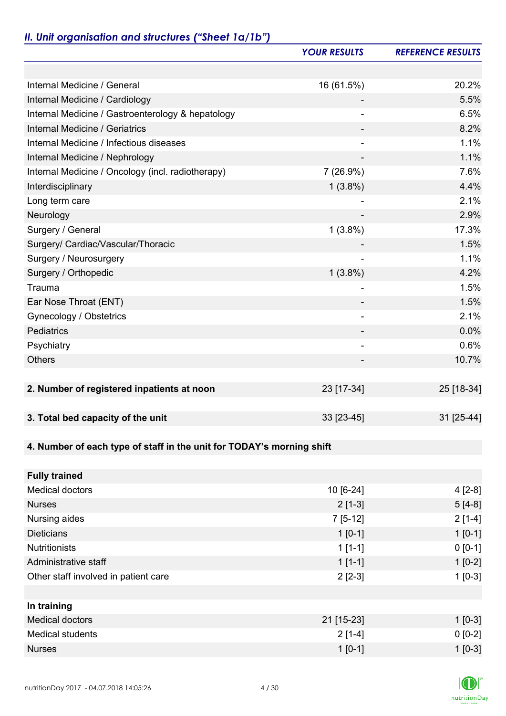# *II. Unit organisation and structures ("Sheet 1a/1b")*

|                                                                       | <b>YOUR RESULTS</b>      | <b>REFERENCE RESULTS</b> |
|-----------------------------------------------------------------------|--------------------------|--------------------------|
|                                                                       |                          |                          |
| Internal Medicine / General                                           | 16 (61.5%)               | 20.2%                    |
| Internal Medicine / Cardiology                                        |                          | 5.5%                     |
| Internal Medicine / Gastroenterology & hepatology                     | $\overline{\phantom{a}}$ | 6.5%                     |
| <b>Internal Medicine / Geriatrics</b>                                 | ۰                        | 8.2%                     |
| Internal Medicine / Infectious diseases                               |                          | 1.1%                     |
| Internal Medicine / Nephrology                                        |                          | 1.1%                     |
| Internal Medicine / Oncology (incl. radiotherapy)                     | 7 (26.9%)                | 7.6%                     |
| Interdisciplinary                                                     | $1(3.8\%)$               | 4.4%                     |
| Long term care                                                        |                          | 2.1%                     |
| Neurology                                                             | $\overline{\phantom{a}}$ | 2.9%                     |
| Surgery / General                                                     | $1(3.8\%)$               | 17.3%                    |
| Surgery/ Cardiac/Vascular/Thoracic                                    |                          | 1.5%                     |
| Surgery / Neurosurgery                                                | ۰                        | 1.1%                     |
| Surgery / Orthopedic                                                  | $1(3.8\%)$               | 4.2%                     |
| Trauma                                                                |                          | 1.5%                     |
| Ear Nose Throat (ENT)                                                 | ۰                        | 1.5%                     |
| <b>Gynecology / Obstetrics</b>                                        | $\overline{\phantom{a}}$ | 2.1%                     |
| Pediatrics                                                            |                          | 0.0%                     |
| Psychiatry                                                            | $\overline{\phantom{a}}$ | 0.6%                     |
| <b>Others</b>                                                         |                          | 10.7%                    |
|                                                                       |                          |                          |
| 2. Number of registered inpatients at noon                            | 23 [17-34]               | 25 [18-34]               |
|                                                                       |                          |                          |
| 3. Total bed capacity of the unit                                     | 33 [23-45]               | 31 [25-44]               |
|                                                                       |                          |                          |
| 4. Number of each type of staff in the unit for TODAY's morning shift |                          |                          |
|                                                                       |                          |                          |
| <b>Fully trained</b>                                                  |                          |                          |
| <b>Medical doctors</b>                                                | 10 [6-24]                | $4[2-8]$                 |
| <b>Nurses</b>                                                         | $2[1-3]$                 | $5[4-8]$                 |
| Nursing aides                                                         | $7[5-12]$                | $2[1-4]$                 |
| <b>Dieticians</b>                                                     | $1[0-1]$                 | $1[0-1]$                 |
| <b>Nutritionists</b>                                                  | $1[1-1]$                 | $0 [0-1]$                |
| Administrative staff                                                  | $1[1-1]$                 | $1[0-2]$                 |
| Other staff involved in patient care                                  | $2[2-3]$                 | $1[0-3]$                 |
|                                                                       |                          |                          |
| In training                                                           |                          |                          |
| <b>Medical doctors</b>                                                | 21 [15-23]               | $1[0-3]$                 |
| <b>Medical students</b>                                               | $2[1-4]$                 | $0 [0-2]$                |
| <b>Nurses</b>                                                         | $1[0-1]$                 | $1[0-3]$                 |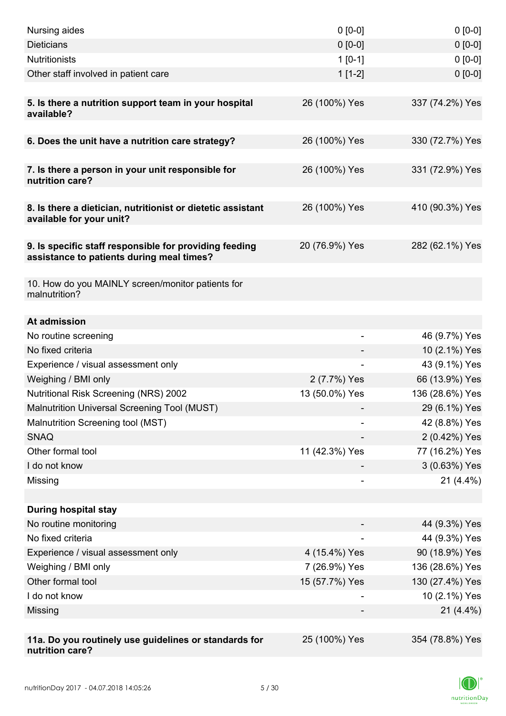| Nursing aides                                                                                       | $0 [0-0]$      | $0[0-0]$        |
|-----------------------------------------------------------------------------------------------------|----------------|-----------------|
| <b>Dieticians</b>                                                                                   | $0 [0-0]$      | $0 [0-0]$       |
| <b>Nutritionists</b>                                                                                | $1[0-1]$       | $0 [0-0]$       |
| Other staff involved in patient care                                                                | $1[1-2]$       | $0 [0-0]$       |
|                                                                                                     |                |                 |
| 5. Is there a nutrition support team in your hospital<br>available?                                 | 26 (100%) Yes  | 337 (74.2%) Yes |
| 6. Does the unit have a nutrition care strategy?                                                    | 26 (100%) Yes  | 330 (72.7%) Yes |
|                                                                                                     |                |                 |
| 7. Is there a person in your unit responsible for<br>nutrition care?                                | 26 (100%) Yes  | 331 (72.9%) Yes |
| 8. Is there a dietician, nutritionist or dietetic assistant<br>available for your unit?             | 26 (100%) Yes  | 410 (90.3%) Yes |
| 9. Is specific staff responsible for providing feeding<br>assistance to patients during meal times? | 20 (76.9%) Yes | 282 (62.1%) Yes |
| 10. How do you MAINLY screen/monitor patients for<br>malnutrition?                                  |                |                 |
| At admission                                                                                        |                |                 |
| No routine screening                                                                                |                | 46 (9.7%) Yes   |
| No fixed criteria                                                                                   |                | 10 (2.1%) Yes   |
| Experience / visual assessment only                                                                 |                | 43 (9.1%) Yes   |
| Weighing / BMI only                                                                                 | 2 (7.7%) Yes   | 66 (13.9%) Yes  |
| <b>Nutritional Risk Screening (NRS) 2002</b>                                                        | 13 (50.0%) Yes | 136 (28.6%) Yes |
| Malnutrition Universal Screening Tool (MUST)                                                        |                | 29 (6.1%) Yes   |
| Malnutrition Screening tool (MST)                                                                   |                | 42 (8.8%) Yes   |
| <b>SNAQ</b>                                                                                         |                | 2 (0.42%) Yes   |
| Other formal tool                                                                                   | 11 (42.3%) Yes | 77 (16.2%) Yes  |
| I do not know                                                                                       |                | 3 (0.63%) Yes   |
| Missing                                                                                             | $\overline{a}$ | $21(4.4\%)$     |
|                                                                                                     |                |                 |
| <b>During hospital stay</b>                                                                         |                |                 |
| No routine monitoring                                                                               |                | 44 (9.3%) Yes   |
| No fixed criteria                                                                                   |                | 44 (9.3%) Yes   |
| Experience / visual assessment only                                                                 | 4 (15.4%) Yes  | 90 (18.9%) Yes  |
| Weighing / BMI only                                                                                 | 7 (26.9%) Yes  | 136 (28.6%) Yes |
| Other formal tool                                                                                   | 15 (57.7%) Yes | 130 (27.4%) Yes |
| I do not know                                                                                       |                | 10 (2.1%) Yes   |
| Missing                                                                                             |                | $21(4.4\%)$     |
|                                                                                                     |                |                 |
| 11a. Do you routinely use guidelines or standards for<br>nutrition care?                            | 25 (100%) Yes  | 354 (78.8%) Yes |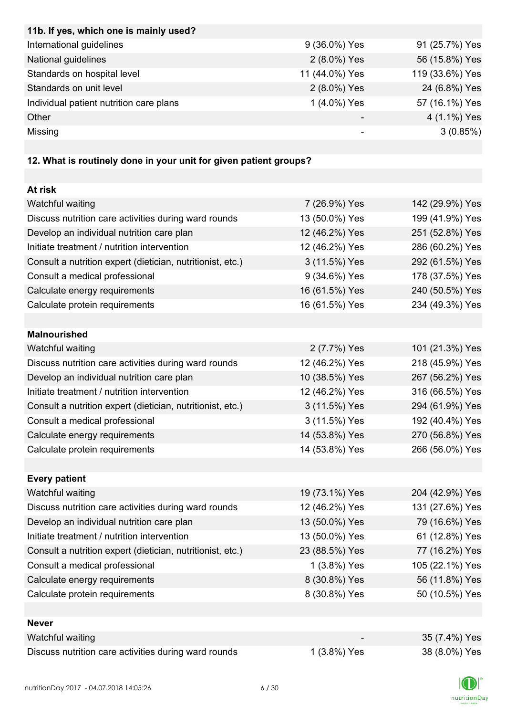| 11b. If yes, which one is mainly used?  |                |                 |
|-----------------------------------------|----------------|-----------------|
| International guidelines                | 9 (36.0%) Yes  | 91 (25.7%) Yes  |
| National guidelines                     | 2 (8.0%) Yes   | 56 (15.8%) Yes  |
| Standards on hospital level             | 11 (44.0%) Yes | 119 (33.6%) Yes |
| Standards on unit level                 | 2 (8.0%) Yes   | 24 (6.8%) Yes   |
| Individual patient nutrition care plans | 1 (4.0%) Yes   | 57 (16.1%) Yes  |
| Other                                   |                | 4 (1.1%) Yes    |
| Missing                                 |                | 3(0.85%)        |

# **12. What is routinely done in your unit for given patient groups?**

| At risk                                                    |                |                 |
|------------------------------------------------------------|----------------|-----------------|
| Watchful waiting                                           | 7 (26.9%) Yes  | 142 (29.9%) Yes |
| Discuss nutrition care activities during ward rounds       | 13 (50.0%) Yes | 199 (41.9%) Yes |
| Develop an individual nutrition care plan                  | 12 (46.2%) Yes | 251 (52.8%) Yes |
| Initiate treatment / nutrition intervention                | 12 (46.2%) Yes | 286 (60.2%) Yes |
| Consult a nutrition expert (dietician, nutritionist, etc.) | 3 (11.5%) Yes  | 292 (61.5%) Yes |
| Consult a medical professional                             | 9 (34.6%) Yes  | 178 (37.5%) Yes |
| Calculate energy requirements                              | 16 (61.5%) Yes | 240 (50.5%) Yes |
| Calculate protein requirements                             | 16 (61.5%) Yes | 234 (49.3%) Yes |
|                                                            |                |                 |
| <b>Malnourished</b>                                        |                |                 |
| Watchful waiting                                           | 2 (7.7%) Yes   | 101 (21.3%) Yes |
| Discuss nutrition care activities during ward rounds       | 12 (46.2%) Yes | 218 (45.9%) Yes |
| Develop an individual nutrition care plan                  | 10 (38.5%) Yes | 267 (56.2%) Yes |
| Initiate treatment / nutrition intervention                | 12 (46.2%) Yes | 316 (66.5%) Yes |
| Consult a nutrition expert (dietician, nutritionist, etc.) | 3 (11.5%) Yes  | 294 (61.9%) Yes |
| Consult a medical professional                             | 3 (11.5%) Yes  | 192 (40.4%) Yes |
| Calculate energy requirements                              | 14 (53.8%) Yes | 270 (56.8%) Yes |
| Calculate protein requirements                             | 14 (53.8%) Yes | 266 (56.0%) Yes |
|                                                            |                |                 |
| <b>Every patient</b>                                       |                |                 |
| Watchful waiting                                           | 19 (73.1%) Yes | 204 (42.9%) Yes |
| Discuss nutrition care activities during ward rounds       | 12 (46.2%) Yes | 131 (27.6%) Yes |
| Develop an individual nutrition care plan                  | 13 (50.0%) Yes | 79 (16.6%) Yes  |
| Initiate treatment / nutrition intervention                | 13 (50.0%) Yes | 61 (12.8%) Yes  |
| Consult a nutrition expert (dietician, nutritionist, etc.) | 23 (88.5%) Yes | 77 (16.2%) Yes  |
| Consult a medical professional                             | 1 (3.8%) Yes   | 105 (22.1%) Yes |
| Calculate energy requirements                              | 8 (30.8%) Yes  | 56 (11.8%) Yes  |
| Calculate protein requirements                             | 8 (30.8%) Yes  | 50 (10.5%) Yes  |
|                                                            |                |                 |
| <b>Never</b>                                               |                |                 |
| Watchful waiting                                           |                | 35 (7.4%) Yes   |
| Discuss nutrition care activities during ward rounds       | 1 (3.8%) Yes   | 38 (8.0%) Yes   |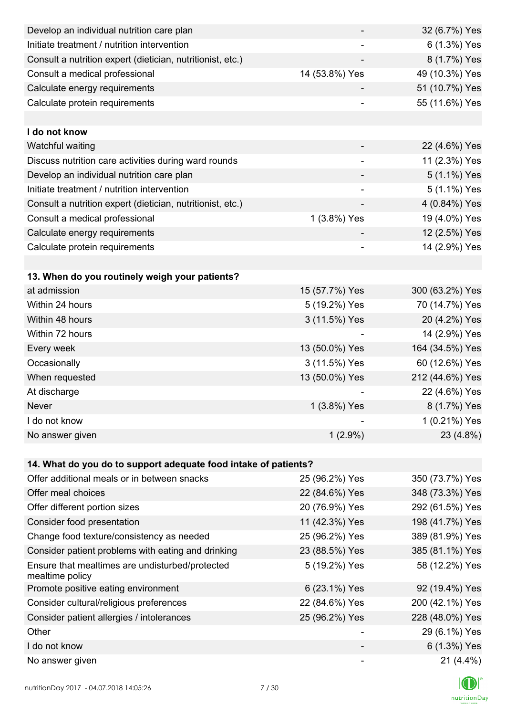| 6 (1.3%) Yes    |
|-----------------|
| 8 (1.7%) Yes    |
| 49 (10.3%) Yes  |
| 51 (10.7%) Yes  |
| 55 (11.6%) Yes  |
|                 |
|                 |
| 22 (4.6%) Yes   |
| 11 (2.3%) Yes   |
| 5 (1.1%) Yes    |
| 5 (1.1%) Yes    |
| 4 (0.84%) Yes   |
| 19 (4.0%) Yes   |
| 12 (2.5%) Yes   |
| 14 (2.9%) Yes   |
|                 |
|                 |
| 300 (63.2%) Yes |
| 70 (14.7%) Yes  |
| 20 (4.2%) Yes   |
| 14 (2.9%) Yes   |
| 164 (34.5%) Yes |
| 60 (12.6%) Yes  |
| 212 (44.6%) Yes |
| 22 (4.6%) Yes   |
| 8 (1.7%) Yes    |
| 1 (0.21%) Yes   |
| 23 (4.8%)       |
|                 |
|                 |
| 350 (73.7%) Yes |
| 348 (73.3%) Yes |
| 292 (61.5%) Yes |
| 198 (41.7%) Yes |
| 389 (81.9%) Yes |
| 385 (81.1%) Yes |
| 58 (12.2%) Yes  |
| 92 (19.4%) Yes  |
| 200 (42.1%) Yes |
| 228 (48.0%) Yes |
| 29 (6.1%) Yes   |
| 6 (1.3%) Yes    |
| $21(4.4\%)$     |
|                 |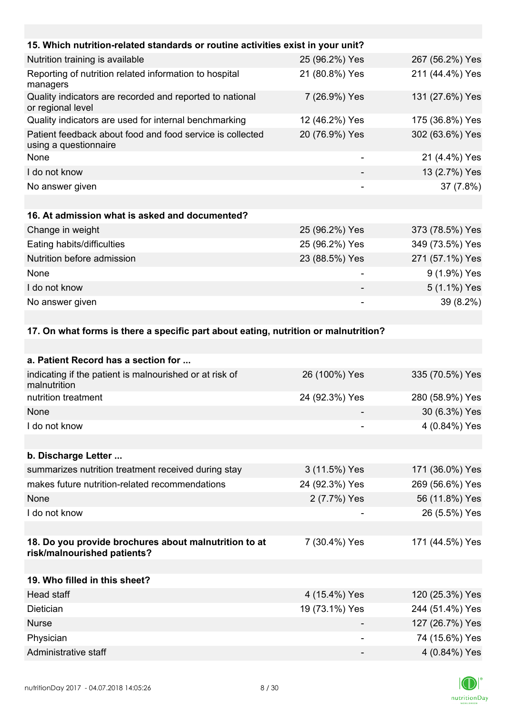| 15. Which nutrition-related standards or routine activities exist in your unit?    |                |                 |
|------------------------------------------------------------------------------------|----------------|-----------------|
| Nutrition training is available                                                    | 25 (96.2%) Yes | 267 (56.2%) Yes |
| Reporting of nutrition related information to hospital<br>managers                 | 21 (80.8%) Yes | 211 (44.4%) Yes |
| Quality indicators are recorded and reported to national<br>or regional level      | 7 (26.9%) Yes  | 131 (27.6%) Yes |
| Quality indicators are used for internal benchmarking                              | 12 (46.2%) Yes | 175 (36.8%) Yes |
| Patient feedback about food and food service is collected<br>using a questionnaire | 20 (76.9%) Yes | 302 (63.6%) Yes |
| None                                                                               |                | 21 (4.4%) Yes   |
| I do not know                                                                      |                | 13 (2.7%) Yes   |
| No answer given                                                                    |                | 37 (7.8%)       |
|                                                                                    |                |                 |
| 16. At admission what is asked and documented?                                     |                |                 |
| Change in weight                                                                   | 25 (96.2%) Yes | 373 (78.5%) Yes |
| Eating habits/difficulties                                                         | 25 (96.2%) Yes | 349 (73.5%) Yes |
| Nutrition before admission                                                         | 23 (88.5%) Yes | 271 (57.1%) Yes |
| None                                                                               |                | 9 (1.9%) Yes    |
| I do not know                                                                      |                | 5 (1.1%) Yes    |
| No answer given                                                                    |                | 39 (8.2%)       |

#### **17. On what forms is there a specific part about eating, nutrition or malnutrition?**

| 26 (100%) Yes                                                          | 335 (70.5%) Yes |
|------------------------------------------------------------------------|-----------------|
| 24 (92.3%) Yes                                                         | 280 (58.9%) Yes |
|                                                                        | 30 (6.3%) Yes   |
|                                                                        | 4 (0.84%) Yes   |
|                                                                        |                 |
|                                                                        |                 |
| 3 (11.5%) Yes                                                          | 171 (36.0%) Yes |
| 24 (92.3%) Yes                                                         | 269 (56.6%) Yes |
| 2 (7.7%) Yes                                                           | 56 (11.8%) Yes  |
|                                                                        | 26 (5.5%) Yes   |
|                                                                        |                 |
| 7 (30.4%) Yes<br>18. Do you provide brochures about malnutrition to at | 171 (44.5%) Yes |
|                                                                        |                 |
|                                                                        |                 |
| 4 (15.4%) Yes                                                          | 120 (25.3%) Yes |
| 19 (73.1%) Yes                                                         | 244 (51.4%) Yes |
|                                                                        | 127 (26.7%) Yes |
| $\overline{\phantom{a}}$                                               | 74 (15.6%) Yes  |
|                                                                        | 4 (0.84%) Yes   |
|                                                                        |                 |

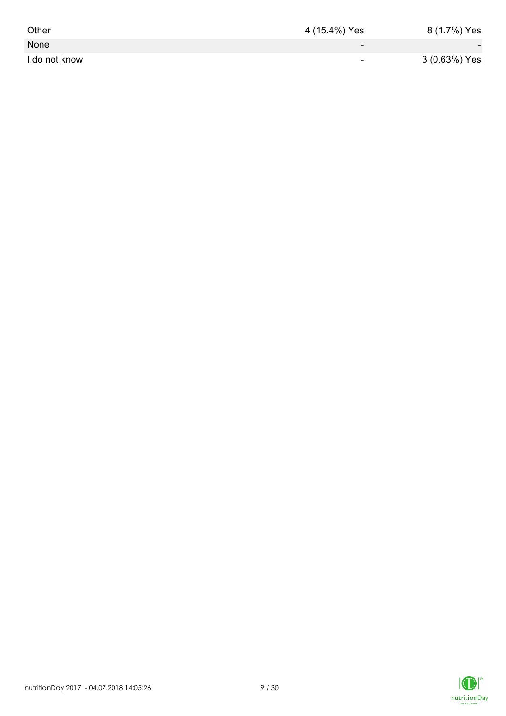| Other         | 4 (15.4%) Yes            | 8 (1.7%) Yes             |
|---------------|--------------------------|--------------------------|
| None          | $\overline{\phantom{0}}$ | $\overline{\phantom{a}}$ |
| I do not know | $\overline{\phantom{a}}$ | 3 (0.63%) Yes            |

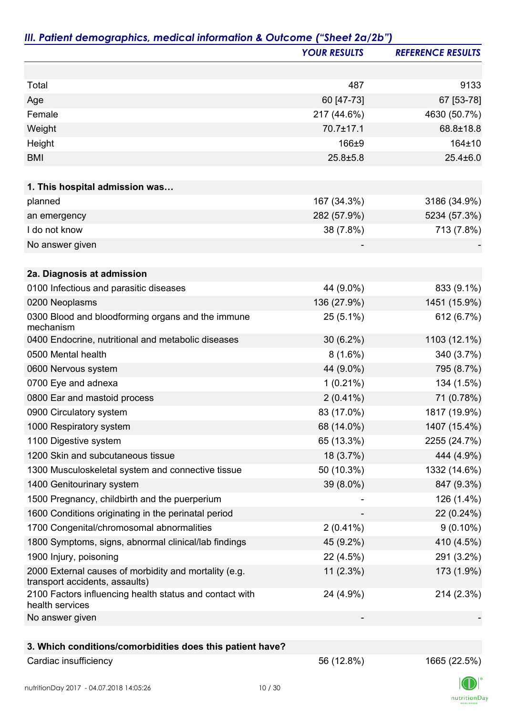|                                                                                         | <b>YOUR RESULTS</b> | <b>REFERENCE RESULTS</b> |
|-----------------------------------------------------------------------------------------|---------------------|--------------------------|
|                                                                                         |                     |                          |
| Total                                                                                   | 487                 | 9133                     |
| Age                                                                                     | 60 [47-73]          | 67 [53-78]               |
| Female                                                                                  | 217 (44.6%)         | 4630 (50.7%)             |
| Weight                                                                                  | 70.7±17.1           | 68.8±18.8                |
| Height                                                                                  | 166±9               | 164±10                   |
| <b>BMI</b>                                                                              | $25.8 \pm 5.8$      | $25.4 \pm 6.0$           |
|                                                                                         |                     |                          |
| 1. This hospital admission was                                                          |                     |                          |
| planned                                                                                 | 167 (34.3%)         | 3186 (34.9%)             |
| an emergency                                                                            | 282 (57.9%)         | 5234 (57.3%)             |
| I do not know                                                                           | 38 (7.8%)           | 713 (7.8%)               |
| No answer given                                                                         |                     |                          |
| 2a. Diagnosis at admission                                                              |                     |                          |
| 0100 Infectious and parasitic diseases                                                  | 44 (9.0%)           | 833 (9.1%)               |
| 0200 Neoplasms                                                                          | 136 (27.9%)         | 1451 (15.9%)             |
| 0300 Blood and bloodforming organs and the immune<br>mechanism                          | 25 (5.1%)           | 612 (6.7%)               |
| 0400 Endocrine, nutritional and metabolic diseases                                      | $30(6.2\%)$         | 1103 (12.1%)             |
| 0500 Mental health                                                                      | $8(1.6\%)$          | 340 (3.7%)               |
| 0600 Nervous system                                                                     | 44 (9.0%)           | 795 (8.7%)               |
| 0700 Eye and adnexa                                                                     | $1(0.21\%)$         | 134 (1.5%)               |
| 0800 Ear and mastoid process                                                            | $2(0.41\%)$         | 71 (0.78%)               |
| 0900 Circulatory system                                                                 | 83 (17.0%)          | 1817 (19.9%)             |
| 1000 Respiratory system                                                                 | 68 (14.0%)          | 1407 (15.4%)             |
| 1100 Digestive system                                                                   | 65 (13.3%)          | 2255 (24.7%)             |
| 1200 Skin and subcutaneous tissue                                                       | 18 (3.7%)           | 444 (4.9%)               |
| 1300 Musculoskeletal system and connective tissue                                       | 50 (10.3%)          | 1332 (14.6%)             |
| 1400 Genitourinary system                                                               | 39 (8.0%)           | 847 (9.3%)               |
| 1500 Pregnancy, childbirth and the puerperium                                           |                     | 126 (1.4%)               |
| 1600 Conditions originating in the perinatal period                                     |                     | 22 (0.24%)               |
| 1700 Congenital/chromosomal abnormalities                                               | $2(0.41\%)$         | $9(0.10\%)$              |
| 1800 Symptoms, signs, abnormal clinical/lab findings                                    | 45 (9.2%)           | 410 (4.5%)               |
| 1900 Injury, poisoning                                                                  | 22 (4.5%)           | 291 (3.2%)               |
| 2000 External causes of morbidity and mortality (e.g.<br>transport accidents, assaults) | 11(2.3%)            | 173 (1.9%)               |
| 2100 Factors influencing health status and contact with<br>health services              | 24 (4.9%)           | 214 (2.3%)               |
| No answer given                                                                         |                     |                          |
| 3. Which conditions/comorbidities does this patient have?                               |                     |                          |
| Cardiac insufficiency                                                                   | 56 (12.8%)          | 1665 (22.5%)             |

 $\label{eq:2} \mathsf{nutritionDay}$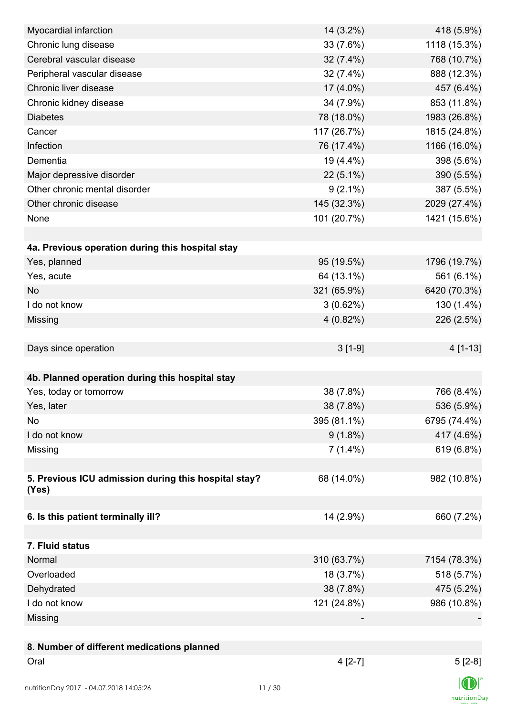| Myocardial infarction                                | 14 (3.2%)   | 418 (5.9%)     |
|------------------------------------------------------|-------------|----------------|
| Chronic lung disease                                 | 33 (7.6%)   | 1118 (15.3%)   |
| Cerebral vascular disease                            | 32 (7.4%)   | 768 (10.7%)    |
| Peripheral vascular disease                          | 32 (7.4%)   | 888 (12.3%)    |
| Chronic liver disease                                | $17(4.0\%)$ | 457 (6.4%)     |
| Chronic kidney disease                               | 34 (7.9%)   | 853 (11.8%)    |
| <b>Diabetes</b>                                      | 78 (18.0%)  | 1983 (26.8%)   |
| Cancer                                               | 117 (26.7%) | 1815 (24.8%)   |
| Infection                                            | 76 (17.4%)  | 1166 (16.0%)   |
| Dementia                                             | 19 (4.4%)   | 398 (5.6%)     |
| Major depressive disorder                            | $22(5.1\%)$ | 390 (5.5%)     |
| Other chronic mental disorder                        | $9(2.1\%)$  | 387 (5.5%)     |
| Other chronic disease                                | 145 (32.3%) | 2029 (27.4%)   |
| None                                                 | 101 (20.7%) | 1421 (15.6%)   |
|                                                      |             |                |
| 4a. Previous operation during this hospital stay     |             |                |
| Yes, planned                                         | 95 (19.5%)  | 1796 (19.7%)   |
| Yes, acute                                           | 64 (13.1%)  | 561 (6.1%)     |
| <b>No</b>                                            | 321 (65.9%) | 6420 (70.3%)   |
| I do not know                                        | $3(0.62\%)$ | 130 (1.4%)     |
| Missing                                              | $4(0.82\%)$ | 226 (2.5%)     |
|                                                      |             |                |
| Days since operation                                 | $3[1-9]$    | 4 [1-13]       |
|                                                      |             |                |
| 4b. Planned operation during this hospital stay      |             |                |
| Yes, today or tomorrow                               | 38 (7.8%)   | 766 (8.4%)     |
| Yes, later                                           | 38 (7.8%)   | 536 (5.9%)     |
| No                                                   | 395 (81.1%) | 6795 (74.4%)   |
| I do not know                                        | $9(1.8\%)$  | 417 (4.6%)     |
| Missing                                              | $7(1.4\%)$  | 619 (6.8%)     |
|                                                      |             |                |
| 5. Previous ICU admission during this hospital stay? | 68 (14.0%)  | 982 (10.8%)    |
| (Yes)                                                |             |                |
|                                                      |             |                |
| 6. Is this patient terminally ill?                   | 14 (2.9%)   | 660 (7.2%)     |
|                                                      |             |                |
| 7. Fluid status                                      |             |                |
| Normal                                               | 310 (63.7%) | 7154 (78.3%)   |
| Overloaded                                           | 18 (3.7%)   | 518 (5.7%)     |
| Dehydrated                                           | 38 (7.8%)   | 475 (5.2%)     |
| I do not know                                        | 121 (24.8%) | 986 (10.8%)    |
| Missing                                              |             |                |
|                                                      |             |                |
| 8. Number of different medications planned           |             |                |
| Oral                                                 | $4 [2-7]$   | $5[2-8]$       |
|                                                      |             |                |
|                                                      |             | $\blacksquare$ |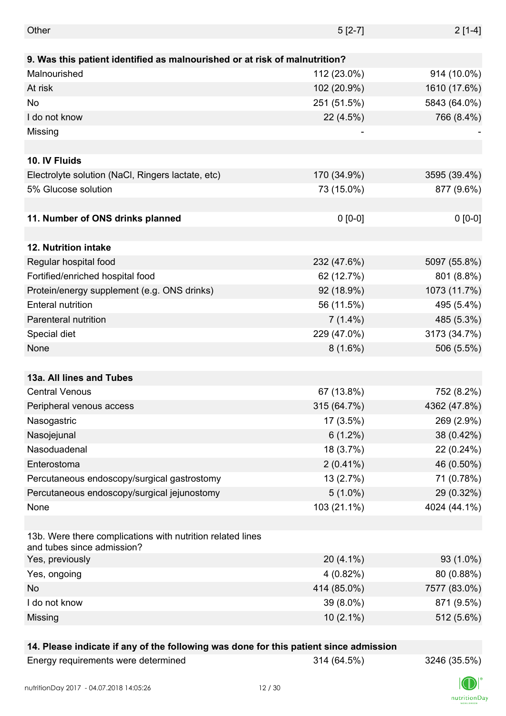| Other                                                                                    | $5[2-7]$    | $2[1-4]$     |
|------------------------------------------------------------------------------------------|-------------|--------------|
|                                                                                          |             |              |
| 9. Was this patient identified as malnourished or at risk of malnutrition?               |             |              |
| Malnourished                                                                             | 112 (23.0%) | 914 (10.0%)  |
| At risk                                                                                  | 102 (20.9%) | 1610 (17.6%) |
| No                                                                                       | 251 (51.5%) | 5843 (64.0%) |
| I do not know                                                                            | 22 (4.5%)   | 766 (8.4%)   |
| Missing                                                                                  |             |              |
|                                                                                          |             |              |
| 10. IV Fluids                                                                            |             |              |
| Electrolyte solution (NaCl, Ringers lactate, etc)                                        | 170 (34.9%) | 3595 (39.4%) |
| 5% Glucose solution                                                                      | 73 (15.0%)  | 877 (9.6%)   |
|                                                                                          |             |              |
| 11. Number of ONS drinks planned                                                         | $0 [0-0]$   | $0 [0-0]$    |
|                                                                                          |             |              |
| <b>12. Nutrition intake</b>                                                              |             |              |
| Regular hospital food                                                                    | 232 (47.6%) | 5097 (55.8%) |
| Fortified/enriched hospital food                                                         | 62 (12.7%)  | 801 (8.8%)   |
| Protein/energy supplement (e.g. ONS drinks)                                              | 92 (18.9%)  | 1073 (11.7%) |
| <b>Enteral nutrition</b>                                                                 | 56 (11.5%)  | 495 (5.4%)   |
| Parenteral nutrition                                                                     | $7(1.4\%)$  | 485 (5.3%)   |
| Special diet                                                                             | 229 (47.0%) | 3173 (34.7%) |
| None                                                                                     | $8(1.6\%)$  | 506 (5.5%)   |
|                                                                                          |             |              |
| 13a. All lines and Tubes                                                                 |             |              |
| <b>Central Venous</b>                                                                    | 67 (13.8%)  | 752 (8.2%)   |
| Peripheral venous access                                                                 | 315 (64.7%) | 4362 (47.8%) |
| Nasogastric                                                                              | 17 (3.5%)   | 269 (2.9%)   |
| Nasojejunal                                                                              | $6(1.2\%)$  | 38 (0.42%)   |
| Nasoduadenal                                                                             | 18 (3.7%)   | 22 (0.24%)   |
| Enterostoma                                                                              | $2(0.41\%)$ | 46 (0.50%)   |
| Percutaneous endoscopy/surgical gastrostomy                                              | 13 (2.7%)   | 71 (0.78%)   |
| Percutaneous endoscopy/surgical jejunostomy                                              | $5(1.0\%)$  | 29 (0.32%)   |
| None                                                                                     | 103 (21.1%) | 4024 (44.1%) |
|                                                                                          |             |              |
| 13b. Were there complications with nutrition related lines<br>and tubes since admission? |             |              |
| Yes, previously                                                                          | $20(4.1\%)$ | 93 (1.0%)    |
| Yes, ongoing                                                                             | 4 (0.82%)   | 80 (0.88%)   |
| No                                                                                       | 414 (85.0%) | 7577 (83.0%) |
| I do not know                                                                            | 39 (8.0%)   | 871 (9.5%)   |
| Missing                                                                                  | $10(2.1\%)$ | 512 (5.6%)   |
|                                                                                          |             |              |

### **14. Please indicate if any of the following was done for this patient since admission**

| Energy requirements were determined |
|-------------------------------------|
|-------------------------------------|

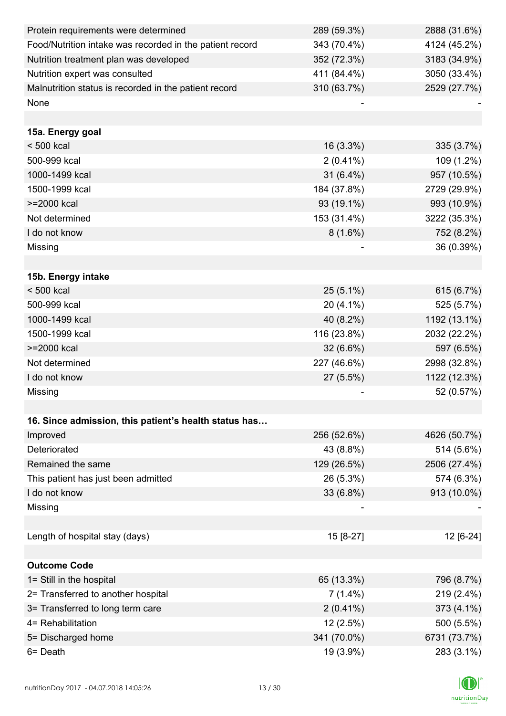| Protein requirements were determined                     | 289 (59.3%) | 2888 (31.6%) |
|----------------------------------------------------------|-------------|--------------|
| Food/Nutrition intake was recorded in the patient record | 343 (70.4%) | 4124 (45.2%) |
| Nutrition treatment plan was developed                   | 352 (72.3%) | 3183 (34.9%) |
| Nutrition expert was consulted                           | 411 (84.4%) | 3050 (33.4%) |
| Malnutrition status is recorded in the patient record    | 310 (63.7%) | 2529 (27.7%) |
| None                                                     |             |              |
|                                                          |             |              |
| 15a. Energy goal                                         |             |              |
| $< 500$ kcal                                             | $16(3.3\%)$ | 335 (3.7%)   |
| 500-999 kcal                                             | $2(0.41\%)$ | 109 (1.2%)   |
| 1000-1499 kcal                                           | $31(6.4\%)$ | 957 (10.5%)  |
| 1500-1999 kcal                                           | 184 (37.8%) | 2729 (29.9%) |
| >=2000 kcal                                              | 93 (19.1%)  | 993 (10.9%)  |
| Not determined                                           | 153 (31.4%) | 3222 (35.3%) |
| I do not know                                            | $8(1.6\%)$  | 752 (8.2%)   |
| Missing                                                  |             | 36 (0.39%)   |
|                                                          |             |              |
| 15b. Energy intake                                       |             |              |
| $< 500$ kcal                                             | $25(5.1\%)$ | 615 (6.7%)   |
| 500-999 kcal                                             | 20 (4.1%)   | 525 (5.7%)   |
| 1000-1499 kcal                                           | 40 (8.2%)   | 1192 (13.1%) |
| 1500-1999 kcal                                           | 116 (23.8%) | 2032 (22.2%) |
| >=2000 kcal                                              | $32(6.6\%)$ | 597 (6.5%)   |
| Not determined                                           | 227 (46.6%) | 2998 (32.8%) |
| I do not know                                            | 27 (5.5%)   | 1122 (12.3%) |
| Missing                                                  |             | 52 (0.57%)   |
|                                                          |             |              |
| 16. Since admission, this patient's health status has    |             |              |
| Improved                                                 | 256 (52.6%) | 4626 (50.7%) |
| Deteriorated                                             | 43 (8.8%)   | 514 (5.6%)   |
| Remained the same                                        | 129 (26.5%) | 2506 (27.4%) |
| This patient has just been admitted                      | 26 (5.3%)   | 574 (6.3%)   |
| I do not know                                            | 33 (6.8%)   | 913 (10.0%)  |
| Missing                                                  |             |              |
|                                                          |             |              |
| Length of hospital stay (days)                           | 15 [8-27]   | 12 [6-24]    |
|                                                          |             |              |
| <b>Outcome Code</b>                                      |             |              |
| 1= Still in the hospital                                 | 65 (13.3%)  | 796 (8.7%)   |
| 2= Transferred to another hospital                       | $7(1.4\%)$  | 219 (2.4%)   |
| 3= Transferred to long term care                         | $2(0.41\%)$ | 373 (4.1%)   |
| 4= Rehabilitation                                        | 12 (2.5%)   | 500 (5.5%)   |
| 5= Discharged home                                       | 341 (70.0%) | 6731 (73.7%) |
| 6= Death                                                 | 19 (3.9%)   | 283 (3.1%)   |

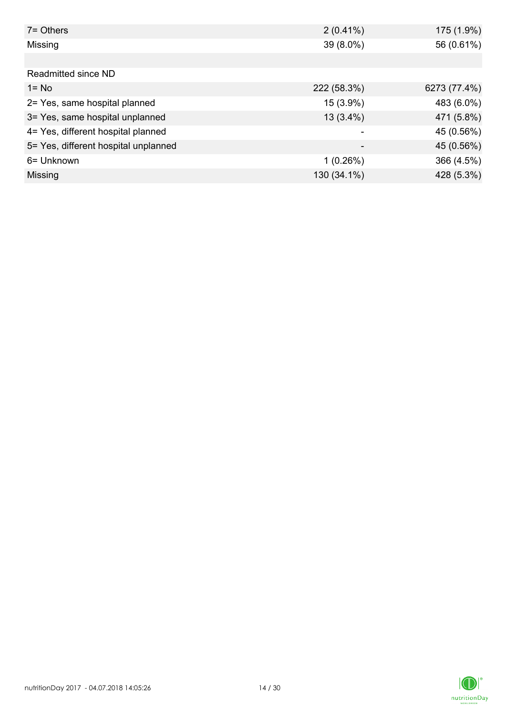| $7 =$ Others                         | $2(0.41\%)$ | 175 (1.9%)   |
|--------------------------------------|-------------|--------------|
| Missing                              | 39 (8.0%)   | 56 (0.61%)   |
|                                      |             |              |
| Readmitted since ND                  |             |              |
| $1 = No$                             | 222 (58.3%) | 6273 (77.4%) |
| 2= Yes, same hospital planned        | 15 (3.9%)   | 483 (6.0%)   |
| 3= Yes, same hospital unplanned      | $13(3.4\%)$ | 471 (5.8%)   |
| 4= Yes, different hospital planned   |             | 45 (0.56%)   |
| 5= Yes, different hospital unplanned | -           | 45 (0.56%)   |
| 6= Unknown                           | 1(0.26%)    | 366 (4.5%)   |
| Missing                              | 130 (34.1%) | 428 (5.3%)   |

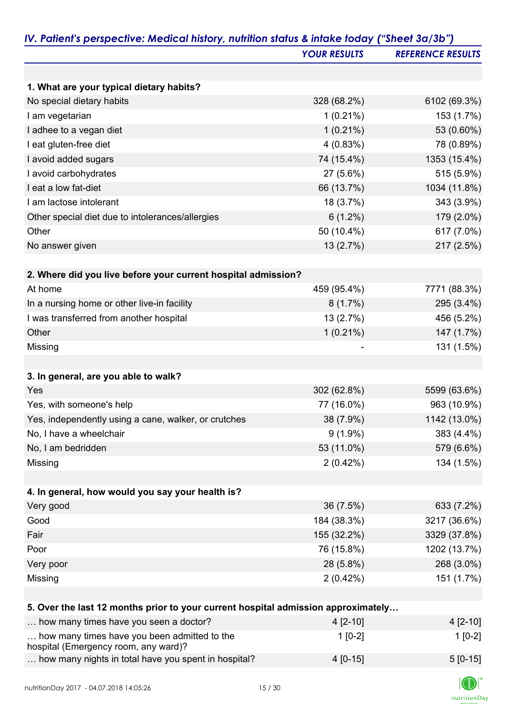|                                                                                   | <b>YOUR RESULTS</b> | <b>REFERENCE RESULTS</b> |
|-----------------------------------------------------------------------------------|---------------------|--------------------------|
|                                                                                   |                     |                          |
| 1. What are your typical dietary habits?                                          |                     |                          |
| No special dietary habits                                                         | 328 (68.2%)         | 6102 (69.3%)             |
| I am vegetarian                                                                   | $1(0.21\%)$         | 153 (1.7%)               |
| I adhee to a vegan diet                                                           | $1(0.21\%)$         | 53 (0.60%)               |
| I eat gluten-free diet                                                            | 4(0.83%)            | 78 (0.89%)               |
| I avoid added sugars                                                              | 74 (15.4%)          | 1353 (15.4%)             |
| I avoid carbohydrates                                                             | 27 (5.6%)           | 515 (5.9%)               |
| I eat a low fat-diet                                                              | 66 (13.7%)          | 1034 (11.8%)             |
| I am lactose intolerant                                                           | 18 (3.7%)           | 343 (3.9%)               |
| Other special diet due to intolerances/allergies                                  | $6(1.2\%)$          | 179 (2.0%)               |
| Other                                                                             | 50 (10.4%)          | 617 (7.0%)               |
| No answer given                                                                   | 13 (2.7%)           | 217 (2.5%)               |
|                                                                                   |                     |                          |
| 2. Where did you live before your current hospital admission?                     |                     |                          |
| At home                                                                           | 459 (95.4%)         | 7771 (88.3%)             |
| In a nursing home or other live-in facility                                       | $8(1.7\%)$          | 295 (3.4%)               |
| I was transferred from another hospital                                           | 13 (2.7%)           | 456 (5.2%)               |
| Other                                                                             | $1(0.21\%)$         | 147 (1.7%)               |
| Missing                                                                           |                     | 131 (1.5%)               |
|                                                                                   |                     |                          |
| 3. In general, are you able to walk?                                              |                     |                          |
| Yes                                                                               | 302 (62.8%)         | 5599 (63.6%)             |
| Yes, with someone's help                                                          | 77 (16.0%)          | 963 (10.9%)              |
| Yes, independently using a cane, walker, or crutches                              | 38 (7.9%)           | 1142 (13.0%)             |
| No, I have a wheelchair                                                           | $9(1.9\%)$          | 383 (4.4%)               |
| No, I am bedridden                                                                | 53 (11.0%)          | 579 (6.6%)               |
| Missing                                                                           | $2(0.42\%)$         | 134 (1.5%)               |
|                                                                                   |                     |                          |
| 4. In general, how would you say your health is?                                  |                     |                          |
| Very good                                                                         | 36 (7.5%)           | 633 (7.2%)               |
| Good                                                                              | 184 (38.3%)         | 3217 (36.6%)             |
| Fair                                                                              | 155 (32.2%)         | 3329 (37.8%)             |
| Poor                                                                              | 76 (15.8%)          | 1202 (13.7%)             |
| Very poor                                                                         | 28 (5.8%)           | 268 (3.0%)               |
| Missing                                                                           | $2(0.42\%)$         | 151 (1.7%)               |
|                                                                                   |                     |                          |
| 5. Over the last 12 months prior to your current hospital admission approximately |                     |                          |
| how many times have you seen a doctor?                                            | $4[2-10]$           | $4[2-10]$                |
| how many times have you been admitted to the                                      | $1[0-2]$            | $1[0-2]$                 |
| hospital (Emergency room, any ward)?                                              |                     |                          |
| how many nights in total have you spent in hospital?                              | $4[0-15]$           | $5[0-15]$                |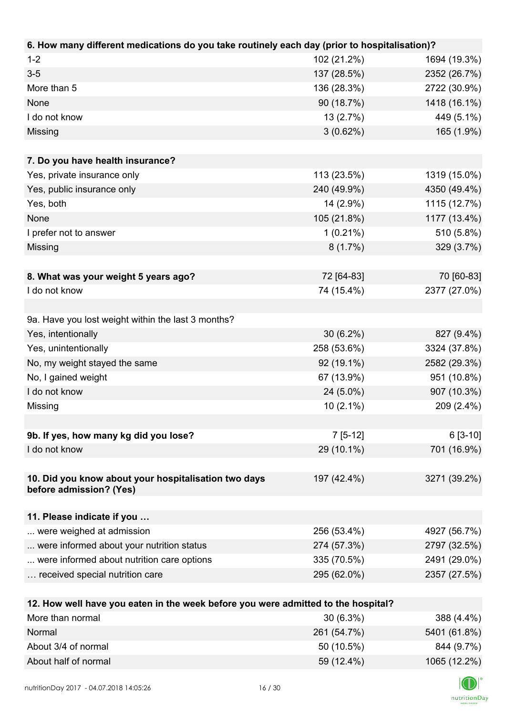| 6. How many different medications do you take routinely each day (prior to hospitalisation)? |             |              |
|----------------------------------------------------------------------------------------------|-------------|--------------|
| $1 - 2$                                                                                      | 102 (21.2%) | 1694 (19.3%) |
| $3-5$                                                                                        | 137 (28.5%) | 2352 (26.7%) |
| More than 5                                                                                  | 136 (28.3%) | 2722 (30.9%) |
| None                                                                                         | 90 (18.7%)  | 1418 (16.1%) |
| I do not know                                                                                | 13(2.7%)    | 449 (5.1%)   |
| Missing                                                                                      | 3(0.62%)    | 165 (1.9%)   |
|                                                                                              |             |              |
| 7. Do you have health insurance?                                                             |             |              |
| Yes, private insurance only                                                                  | 113 (23.5%) | 1319 (15.0%) |
| Yes, public insurance only                                                                   | 240 (49.9%) | 4350 (49.4%) |
| Yes, both                                                                                    | 14 (2.9%)   | 1115 (12.7%) |
| None                                                                                         | 105 (21.8%) | 1177 (13.4%) |
| I prefer not to answer                                                                       | $1(0.21\%)$ | 510 (5.8%)   |
| Missing                                                                                      | 8(1.7%)     | 329 (3.7%)   |
|                                                                                              |             |              |
| 8. What was your weight 5 years ago?                                                         | 72 [64-83]  | 70 [60-83]   |
| I do not know                                                                                | 74 (15.4%)  | 2377 (27.0%) |
|                                                                                              |             |              |
| 9a. Have you lost weight within the last 3 months?                                           |             |              |
| Yes, intentionally                                                                           | $30(6.2\%)$ | 827 (9.4%)   |
| Yes, unintentionally                                                                         | 258 (53.6%) | 3324 (37.8%) |
| No, my weight stayed the same                                                                | 92 (19.1%)  | 2582 (29.3%) |
| No, I gained weight                                                                          | 67 (13.9%)  | 951 (10.8%)  |
| I do not know                                                                                | 24 (5.0%)   | 907 (10.3%)  |
| Missing                                                                                      | $10(2.1\%)$ | 209 (2.4%)   |
|                                                                                              |             |              |
| 9b. If yes, how many kg did you lose?                                                        | $7[5-12]$   | $6[3-10]$    |
| I do not know                                                                                | 29 (10.1%)  | 701 (16.9%)  |
|                                                                                              |             |              |
| 10. Did you know about your hospitalisation two days                                         | 197 (42.4%) | 3271 (39.2%) |
| before admission? (Yes)                                                                      |             |              |
|                                                                                              |             |              |
| 11. Please indicate if you                                                                   |             |              |
| were weighed at admission                                                                    | 256 (53.4%) | 4927 (56.7%) |
| were informed about your nutrition status                                                    | 274 (57.3%) | 2797 (32.5%) |
| were informed about nutrition care options                                                   | 335 (70.5%) | 2491 (29.0%) |
| received special nutrition care                                                              | 295 (62.0%) | 2357 (27.5%) |
|                                                                                              |             |              |
| 12. How well have you eaten in the week before you were admitted to the hospital?            |             |              |
| More than normal                                                                             | $30(6.3\%)$ | 388 (4.4%)   |
| Normal                                                                                       | 261 (54.7%) | 5401 (61.8%) |

About 3/4 of normal 844 (9.7%) About half of normal 1065 (12.2%)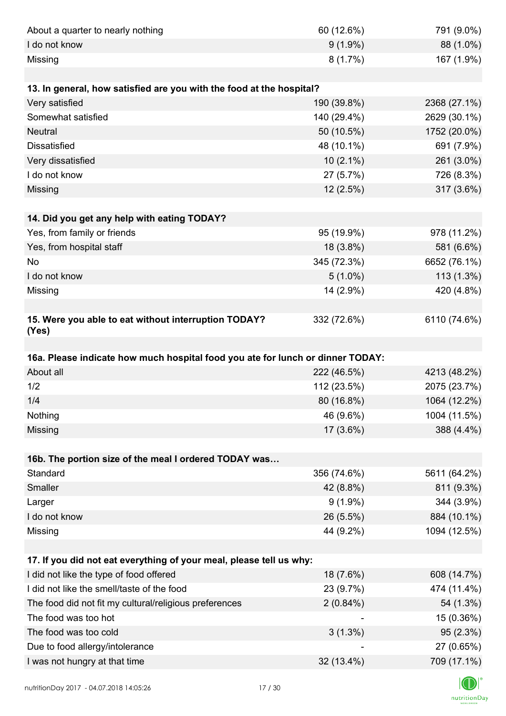| About a quarter to nearly nothing                                              | 60 (12.6%)  | 791 (9.0%)              |
|--------------------------------------------------------------------------------|-------------|-------------------------|
| I do not know                                                                  | $9(1.9\%)$  | 88 (1.0%)               |
| Missing                                                                        | 8(1.7%)     | 167 (1.9%)              |
|                                                                                |             |                         |
| 13. In general, how satisfied are you with the food at the hospital?           |             |                         |
| Very satisfied                                                                 | 190 (39.8%) | 2368 (27.1%)            |
| Somewhat satisfied                                                             | 140 (29.4%) | 2629 (30.1%)            |
| <b>Neutral</b>                                                                 | 50 (10.5%)  | 1752 (20.0%)            |
| <b>Dissatisfied</b>                                                            | 48 (10.1%)  | 691 (7.9%)              |
| Very dissatisfied                                                              | $10(2.1\%)$ | 261 (3.0%)              |
| I do not know                                                                  | 27 (5.7%)   | 726 (8.3%)              |
| Missing                                                                        | 12(2.5%)    | 317 (3.6%)              |
|                                                                                |             |                         |
| 14. Did you get any help with eating TODAY?                                    |             |                         |
| Yes, from family or friends                                                    | 95 (19.9%)  | 978 (11.2%)             |
| Yes, from hospital staff                                                       | 18 (3.8%)   | 581 (6.6%)              |
| <b>No</b>                                                                      | 345 (72.3%) | 6652 (76.1%)            |
| I do not know                                                                  | $5(1.0\%)$  | $113(1.3\%)$            |
| Missing                                                                        | 14 (2.9%)   | 420 (4.8%)              |
|                                                                                |             |                         |
| 15. Were you able to eat without interruption TODAY?<br>(Yes)                  | 332 (72.6%) | 6110 (74.6%)            |
|                                                                                |             |                         |
| 16a. Please indicate how much hospital food you ate for lunch or dinner TODAY: |             |                         |
| About all                                                                      | 222 (46.5%) | 4213 (48.2%)            |
| 1/2                                                                            | 112 (23.5%) | 2075 (23.7%)            |
| 1/4                                                                            | 80 (16.8%)  | 1064 (12.2%)            |
| Nothing                                                                        | 46 (9.6%)   | 1004 (11.5%)            |
| Missing                                                                        | 17 (3.6%)   | 388 (4.4%)              |
|                                                                                |             |                         |
| 16b. The portion size of the meal I ordered TODAY was                          |             |                         |
| Standard                                                                       | 356 (74.6%) | 5611 (64.2%)            |
| Smaller                                                                        | 42 (8.8%)   | 811 (9.3%)              |
| Larger                                                                         | $9(1.9\%)$  | 344 (3.9%)              |
| I do not know                                                                  | 26 (5.5%)   | 884 (10.1%)             |
| Missing                                                                        | 44 (9.2%)   | 1094 (12.5%)            |
| 17. If you did not eat everything of your meal, please tell us why:            |             |                         |
|                                                                                |             |                         |
| I did not like the type of food offered                                        | 18 (7.6%)   | 608 (14.7%)             |
| I did not like the smell/taste of the food                                     | 23 (9.7%)   | 474 (11.4%)             |
| The food did not fit my cultural/religious preferences                         | $2(0.84\%)$ |                         |
| The food was too hot                                                           |             | 54 (1.3%)<br>15 (0.36%) |
| The food was too cold                                                          | $3(1.3\%)$  | 95(2.3%)                |
| Due to food allergy/intolerance                                                |             | 27 (0.65%)              |
| I was not hungry at that time                                                  | 32 (13.4%)  | 709 (17.1%)             |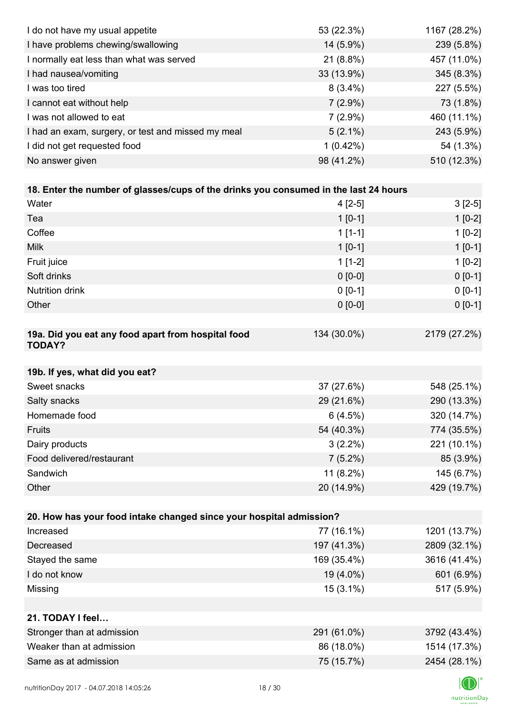| I do not have my usual appetite                                                      | 53 (22.3%)  | 1167 (28.2%) |
|--------------------------------------------------------------------------------------|-------------|--------------|
| I have problems chewing/swallowing                                                   | 14 (5.9%)   | 239 (5.8%)   |
| I normally eat less than what was served                                             | $21(8.8\%)$ | 457 (11.0%)  |
| I had nausea/vomiting                                                                | 33 (13.9%)  | 345 (8.3%)   |
| I was too tired                                                                      | $8(3.4\%)$  | 227 (5.5%)   |
| I cannot eat without help                                                            | $7(2.9\%)$  | 73 (1.8%)    |
| I was not allowed to eat                                                             | $7(2.9\%)$  | 460 (11.1%)  |
| I had an exam, surgery, or test and missed my meal                                   | $5(2.1\%)$  | 243 (5.9%)   |
| I did not get requested food                                                         | $1(0.42\%)$ | 54 (1.3%)    |
| No answer given                                                                      | 98 (41.2%)  | 510 (12.3%)  |
|                                                                                      |             |              |
| 18. Enter the number of glasses/cups of the drinks you consumed in the last 24 hours |             |              |
| Water                                                                                | $4[2-5]$    | $3[2-5]$     |
| Tea                                                                                  | $1 [0-1]$   | $1[0-2]$     |
| Coffee                                                                               | $1[1-1]$    | $1[0-2]$     |
| <b>Milk</b>                                                                          | $1 [0-1]$   | $1[0-1]$     |
| Fruit juice                                                                          | $1[1-2]$    | $1[0-2]$     |
| Soft drinks                                                                          | $0 [0-0]$   | $0[0-1]$     |
| <b>Nutrition drink</b>                                                               | $0 [0-1]$   | $0 [0-1]$    |
| Other                                                                                | $0 [0-0]$   | $0 [0-1]$    |
|                                                                                      |             |              |
| 19a. Did you eat any food apart from hospital food<br><b>TODAY?</b>                  | 134 (30.0%) | 2179 (27.2%) |
| 19b. If yes, what did you eat?                                                       |             |              |
| Sweet snacks                                                                         | 37 (27.6%)  | 548 (25.1%)  |
| Salty snacks                                                                         | 29 (21.6%)  | 290 (13.3%)  |
| Homemade food                                                                        | 6(4.5%)     | 320 (14.7%)  |
| Fruits                                                                               | 54 (40.3%)  | 774 (35.5%)  |
| Dairy products                                                                       | $3(2.2\%)$  | 221 (10.1%)  |
| Food delivered/restaurant                                                            | $7(5.2\%)$  | 85 (3.9%)    |
| Sandwich                                                                             | 11 (8.2%)   | 145 (6.7%)   |
| Other                                                                                | 20 (14.9%)  | 429 (19.7%)  |
|                                                                                      |             |              |
| 20. How has your food intake changed since your hospital admission?                  |             |              |
| Increased                                                                            | 77 (16.1%)  | 1201 (13.7%) |
| Decreased                                                                            | 197 (41.3%) | 2809 (32.1%) |
| Stayed the same                                                                      | 169 (35.4%) | 3616 (41.4%) |
| I do not know                                                                        | 19 (4.0%)   | 601 (6.9%)   |
| Missing                                                                              | $15(3.1\%)$ | 517 (5.9%)   |
|                                                                                      |             |              |
| 21. TODAY I feel                                                                     |             |              |
| Stronger than at admission                                                           | 291 (61.0%) | 3792 (43.4%) |
| Weaker than at admission                                                             | 86 (18.0%)  | 1514 (17.3%) |
| Same as at admission                                                                 | 75 (15.7%)  | 2454 (28.1%) |
|                                                                                      |             |              |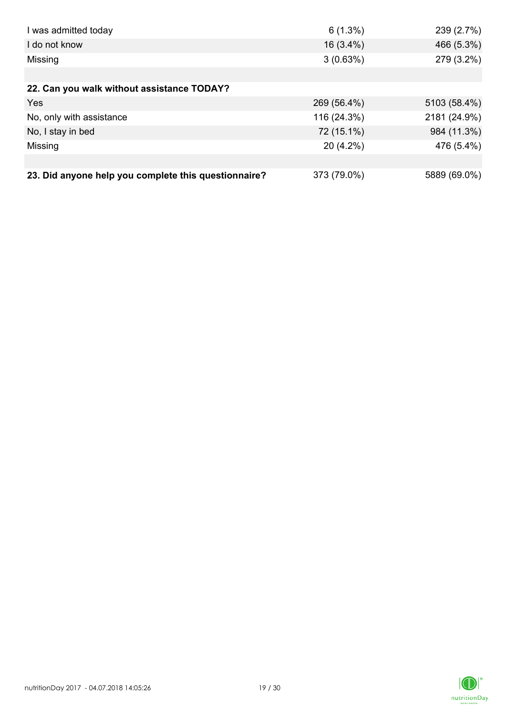| I was admitted today                                 | $6(1.3\%)$  | 239 (2.7%)   |
|------------------------------------------------------|-------------|--------------|
| I do not know                                        | $16(3.4\%)$ | 466 (5.3%)   |
| Missing                                              | 3(0.63%)    | 279 (3.2%)   |
|                                                      |             |              |
| 22. Can you walk without assistance TODAY?           |             |              |
| Yes                                                  | 269 (56.4%) | 5103 (58.4%) |
| No, only with assistance                             | 116 (24.3%) | 2181 (24.9%) |
| No, I stay in bed                                    | 72 (15.1%)  | 984 (11.3%)  |
| Missing                                              | $20(4.2\%)$ | 476 (5.4%)   |
|                                                      |             |              |
| 23. Did anyone help you complete this questionnaire? | 373 (79.0%) | 5889 (69.0%) |

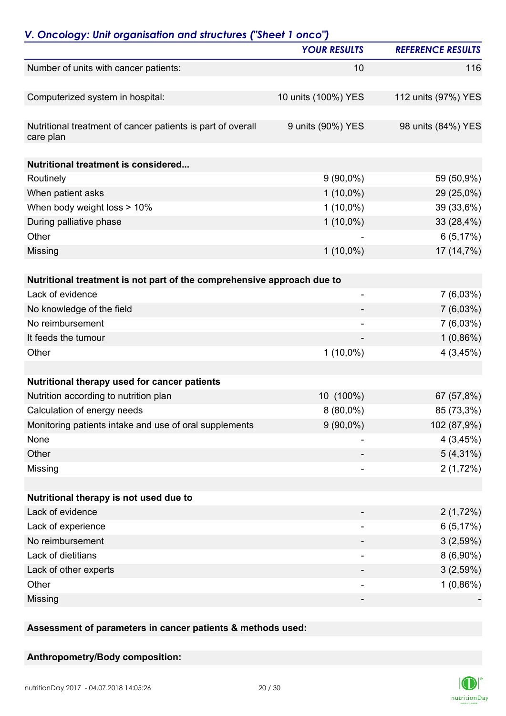|                                                                          | <b>YOUR RESULTS</b>      | <b>REFERENCE RESULTS</b> |
|--------------------------------------------------------------------------|--------------------------|--------------------------|
| Number of units with cancer patients:                                    | 10                       | 116                      |
| Computerized system in hospital:                                         | 10 units (100%) YES      | 112 units (97%) YES      |
| Nutritional treatment of cancer patients is part of overall<br>care plan | 9 units (90%) YES        | 98 units (84%) YES       |
| Nutritional treatment is considered                                      |                          |                          |
| Routinely                                                                | $9(90,0\%)$              | 59 (50,9%)               |
| When patient asks                                                        | $1(10,0\%)$              | 29 (25,0%)               |
| When body weight loss > 10%                                              | $1(10,0\%)$              | 39 (33,6%)               |
| During palliative phase                                                  | $1(10,0\%)$              | 33 (28,4%)               |
| Other                                                                    |                          | 6(5,17%)                 |
| Missing                                                                  | $1(10,0\%)$              | 17 (14,7%)               |
| Nutritional treatment is not part of the comprehensive approach due to   |                          |                          |
| Lack of evidence                                                         | $\overline{\phantom{a}}$ | $7(6,03\%)$              |
| No knowledge of the field                                                |                          | $7(6,03\%)$              |
| No reimbursement                                                         | $\overline{\phantom{a}}$ | $7(6,03\%)$              |
| It feeds the tumour                                                      |                          | $1(0,86\%)$              |
| Other                                                                    | $1(10,0\%)$              | 4(3,45%)                 |
|                                                                          |                          |                          |
| Nutritional therapy used for cancer patients                             |                          |                          |
| Nutrition according to nutrition plan                                    | 10 (100%)                | 67 (57,8%)               |
| Calculation of energy needs                                              | 8 (80,0%)                | 85 (73,3%)               |
| Monitoring patients intake and use of oral supplements                   | $9(90,0\%)$              | 102 (87,9%)              |
| None                                                                     |                          | 4(3,45%)                 |
| Other                                                                    |                          | $5(4,31\%)$              |
| Missing                                                                  |                          | 2(1,72%)                 |
| Nutritional therapy is not used due to                                   |                          |                          |
| Lack of evidence                                                         |                          | 2(1,72%)                 |
| Lack of experience                                                       |                          | 6(5,17%)                 |
| No reimbursement                                                         |                          | 3(2,59%)                 |
| Lack of dietitians                                                       | $\overline{\phantom{a}}$ | $8(6,90\%)$              |
| Lack of other experts                                                    | ۰                        | 3(2,59%)                 |
| Other                                                                    | -                        | $1(0,86\%)$              |
| Missing                                                                  | -                        |                          |
|                                                                          |                          |                          |

**Assessment of parameters in cancer patients & methods used:**

**Anthropometry/Body composition:**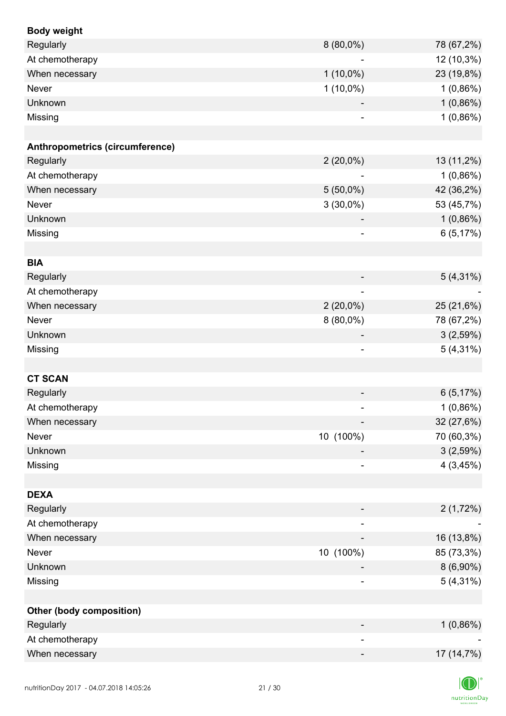| <b>Body weight</b>              |                              |             |
|---------------------------------|------------------------------|-------------|
| Regularly                       | 8 (80,0%)                    | 78 (67,2%)  |
| At chemotherapy                 | $\overline{\phantom{a}}$     | 12 (10,3%)  |
| When necessary                  | $1(10,0\%)$                  | 23 (19,8%)  |
| Never                           | $1(10,0\%)$                  | $1(0,86\%)$ |
| Unknown                         |                              | 1(0,86%)    |
| Missing                         |                              | 1(0,86%)    |
|                                 |                              |             |
| Anthropometrics (circumference) |                              |             |
| Regularly                       | $2(20,0\%)$                  | 13 (11,2%)  |
| At chemotherapy                 |                              | $1(0,86\%)$ |
| When necessary                  | $5(50,0\%)$                  | 42 (36,2%)  |
| Never                           | $3(30,0\%)$                  | 53 (45,7%)  |
| Unknown                         |                              | 1(0,86%)    |
| Missing                         | $\overline{\phantom{a}}$     | 6(5,17%)    |
|                                 |                              |             |
| <b>BIA</b>                      |                              |             |
| Regularly                       |                              | $5(4,31\%)$ |
| At chemotherapy                 | $\qquad \qquad \blacksquare$ |             |
| When necessary                  | $2(20,0\%)$                  | 25 (21,6%)  |
| Never                           | $8(80,0\%)$                  | 78 (67,2%)  |
| Unknown                         | $\overline{\phantom{a}}$     | 3(2,59%)    |
| Missing                         | $\qquad \qquad \blacksquare$ | $5(4,31\%)$ |
|                                 |                              |             |
| <b>CT SCAN</b>                  |                              |             |
| Regularly                       |                              | 6(5,17%)    |
| At chemotherapy                 |                              | 1(0,86%)    |
| When necessary                  |                              | 32 (27,6%)  |
| Never                           | 10 (100%)                    | 70 (60,3%)  |
| Unknown                         |                              | 3(2,59%)    |
| Missing                         |                              | 4(3,45%)    |
|                                 |                              |             |
| <b>DEXA</b>                     |                              |             |
| Regularly                       |                              | 2(1,72%)    |
| At chemotherapy                 | $\overline{\phantom{a}}$     |             |
| When necessary                  |                              | 16 (13,8%)  |
| Never                           | 10 (100%)                    | 85 (73,3%)  |
| Unknown                         |                              | $8(6,90\%)$ |
| Missing                         |                              | $5(4,31\%)$ |
|                                 |                              |             |
| <b>Other (body composition)</b> |                              |             |
| Regularly                       |                              | 1(0,86%)    |
| At chemotherapy                 |                              |             |
| When necessary                  | -                            | 17 (14,7%)  |
|                                 |                              |             |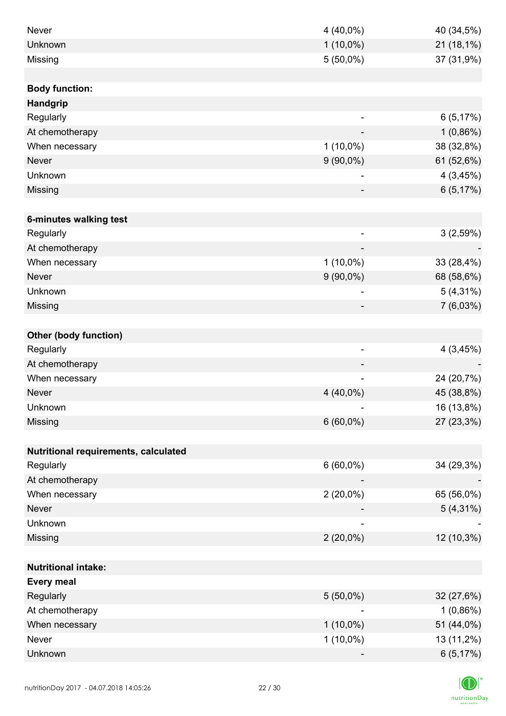| Never                                | 4 (40,0%)                | 40 (34,5%)  |
|--------------------------------------|--------------------------|-------------|
| Unknown                              | $1(10,0\%)$              | 21 (18,1%)  |
| Missing                              | $5(50,0\%)$              | 37 (31,9%)  |
|                                      |                          |             |
| <b>Body function:</b>                |                          |             |
| Handgrip                             |                          |             |
| Regularly                            |                          | 6(5,17%)    |
| At chemotherapy                      |                          | $1(0,86\%)$ |
| When necessary                       | $1(10,0\%)$              | 38 (32,8%)  |
| <b>Never</b>                         | $9(90,0\%)$              | 61 (52,6%)  |
| Unknown                              |                          | 4(3,45%)    |
| Missing                              |                          | 6(5,17%)    |
|                                      |                          |             |
| 6-minutes walking test               |                          |             |
| Regularly                            | $\overline{\phantom{a}}$ | 3(2,59%)    |
| At chemotherapy                      | $\overline{\phantom{a}}$ |             |
| When necessary                       | $1(10,0\%)$              | 33 (28,4%)  |
| <b>Never</b>                         | $9(90,0\%)$              | 68 (58,6%)  |
| Unknown                              |                          | $5(4,31\%)$ |
| Missing                              |                          | 7(6,03%)    |
|                                      |                          |             |
| <b>Other (body function)</b>         |                          |             |
| Regularly                            | $\overline{\phantom{a}}$ | 4(3,45%)    |
| At chemotherapy                      |                          |             |
| When necessary                       | $\overline{\phantom{a}}$ | 24 (20,7%)  |
| <b>Never</b>                         | 4 (40,0%)                | 45 (38,8%)  |
| Unknown                              |                          | 16 (13,8%)  |
| Missing                              | $6(60,0\%)$              | 27 (23,3%)  |
|                                      |                          |             |
| Nutritional requirements, calculated |                          |             |
| Regularly                            | $6(60,0\%)$              | 34 (29,3%)  |
| At chemotherapy                      |                          |             |
| When necessary                       | $2(20,0\%)$              | 65 (56,0%)  |
| <b>Never</b>                         |                          | $5(4,31\%)$ |
| Unknown                              |                          |             |
| Missing                              | $2(20,0\%)$              | 12 (10,3%)  |
|                                      |                          |             |
| <b>Nutritional intake:</b>           |                          |             |
| <b>Every meal</b>                    |                          |             |
| Regularly                            | $5(50,0\%)$              | 32 (27,6%)  |
| At chemotherapy                      |                          | 1(0,86%)    |
| When necessary                       | $1(10,0\%)$              | 51 (44,0%)  |
| Never                                | $1(10,0\%)$              | 13 (11,2%)  |
| Unknown                              |                          | 6(5,17%)    |

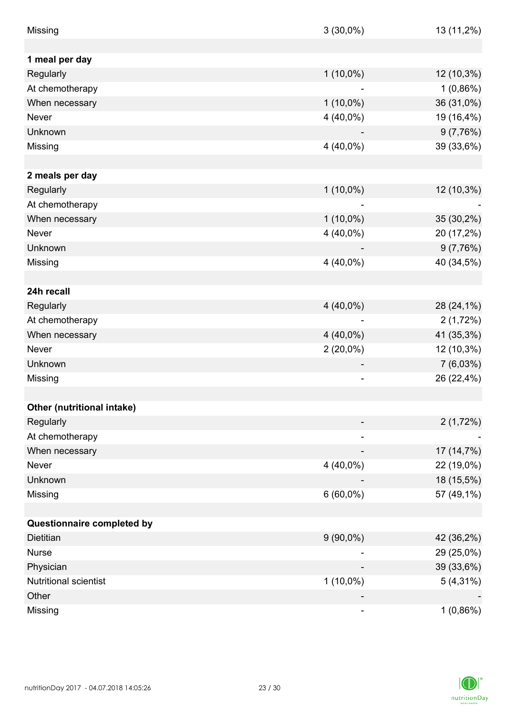| Missing                    | $3(30,0\%)$                  | 13 (11,2%)  |
|----------------------------|------------------------------|-------------|
|                            |                              |             |
| 1 meal per day             |                              |             |
| Regularly                  | $1(10,0\%)$                  | 12 (10,3%)  |
| At chemotherapy            |                              | $1(0,86\%)$ |
| When necessary             | $1(10,0\%)$                  | 36 (31,0%)  |
| Never                      | 4 (40,0%)                    | 19 (16,4%)  |
| Unknown                    |                              | 9(7,76%)    |
| Missing                    | $4(40,0\%)$                  | 39 (33,6%)  |
|                            |                              |             |
| 2 meals per day            |                              |             |
| Regularly                  | $1(10,0\%)$                  | 12 (10,3%)  |
| At chemotherapy            | $\qquad \qquad \blacksquare$ |             |
| When necessary             | $1(10,0\%)$                  | 35 (30,2%)  |
| Never                      | $4(40,0\%)$                  | 20 (17,2%)  |
| Unknown                    |                              | 9(7,76%)    |
| Missing                    | $4(40,0\%)$                  | 40 (34,5%)  |
|                            |                              |             |
| 24h recall                 |                              |             |
| Regularly                  | $4(40,0\%)$                  | 28 (24,1%)  |
| At chemotherapy            |                              | 2(1,72%)    |
| When necessary             | $4(40,0\%)$                  | 41 (35,3%)  |
| <b>Never</b>               | $2(20,0\%)$                  | 12 (10,3%)  |
| Unknown                    |                              | $7(6,03\%)$ |
| Missing                    | $\overline{\phantom{0}}$     | 26 (22,4%)  |
|                            |                              |             |
|                            |                              |             |
| Other (nutritional intake) |                              |             |
| Regularly                  |                              | 2(1,72%)    |
| At chemotherapy            |                              |             |
| When necessary             |                              | 17 (14,7%)  |
| Never                      | $4(40,0\%)$                  | 22 (19,0%)  |
| Unknown                    |                              | 18 (15,5%)  |
| Missing                    | $6(60,0\%)$                  | 57 (49,1%)  |
|                            |                              |             |
| Questionnaire completed by |                              |             |
| Dietitian                  | $9(90,0\%)$                  | 42 (36,2%)  |
| <b>Nurse</b>               |                              | 29 (25,0%)  |
| Physician                  |                              | 39 (33,6%)  |
| Nutritional scientist      | $1(10,0\%)$                  | $5(4,31\%)$ |
| Other                      |                              |             |
| Missing                    |                              | 1(0,86%)    |

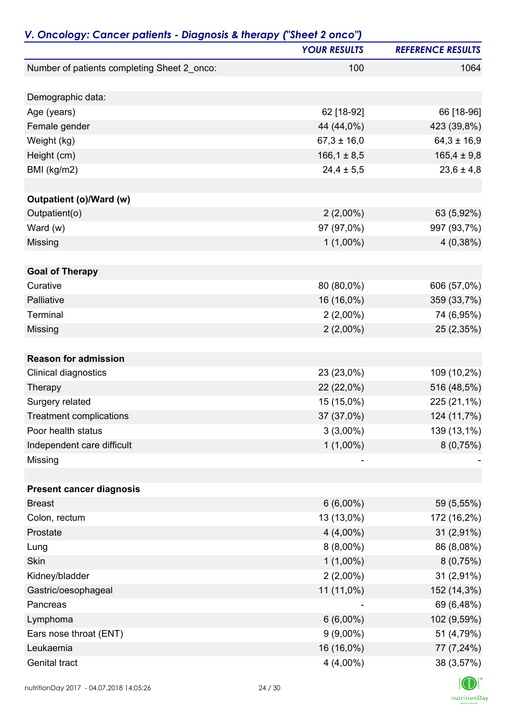| V. Oncology: Cancer patients - Diagnosis & therapy ("Sheet 2 onco") | <b>YOUR RESULTS</b> | <b>REFERENCE RESULTS</b> |
|---------------------------------------------------------------------|---------------------|--------------------------|
| Number of patients completing Sheet 2_onco:                         | 100                 | 1064                     |
|                                                                     |                     |                          |
| Demographic data:                                                   |                     |                          |
| Age (years)                                                         | 62 [18-92]          | 66 [18-96]               |
| Female gender                                                       | 44 (44,0%)          | 423 (39,8%)              |
| Weight (kg)                                                         | $67,3 \pm 16,0$     | $64,3 \pm 16,9$          |
| Height (cm)                                                         | $166, 1 \pm 8, 5$   | $165,4 \pm 9,8$          |
| BMI (kg/m2)                                                         | $24,4 \pm 5,5$      | $23,6 \pm 4,8$           |
| Outpatient (o)/Ward (w)                                             |                     |                          |
| Outpatient(o)                                                       | $2(2,00\%)$         | 63 (5,92%)               |
| Ward (w)                                                            | 97 (97,0%)          | 997 (93,7%)              |
| Missing                                                             | $1(1,00\%)$         | 4(0,38%)                 |
|                                                                     |                     |                          |
| <b>Goal of Therapy</b>                                              |                     |                          |
| Curative                                                            | 80 (80,0%)          | 606 (57,0%)              |
| Palliative                                                          | 16 (16,0%)          | 359 (33,7%)              |
| Terminal                                                            | $2(2,00\%)$         | 74 (6,95%)               |
| Missing                                                             | $2(2,00\%)$         | 25 (2,35%)               |
|                                                                     |                     |                          |
| <b>Reason for admission</b>                                         |                     |                          |
| Clinical diagnostics                                                | 23 (23,0%)          | 109 (10,2%)              |
| Therapy                                                             | 22 (22,0%)          | 516 (48,5%)              |
| Surgery related                                                     | 15 (15,0%)          | 225 (21,1%)              |
| <b>Treatment complications</b>                                      | 37 (37,0%)          | 124 (11,7%)              |
| Poor health status                                                  | $3(3,00\%)$         | 139 (13,1%)              |
| Independent care difficult                                          | $1(1,00\%)$         | 8(0,75%)                 |
| Missing                                                             |                     |                          |
|                                                                     |                     |                          |
| <b>Present cancer diagnosis</b>                                     |                     |                          |
| <b>Breast</b>                                                       | $6(6,00\%)$         | 59 (5,55%)               |
| Colon, rectum                                                       | 13 (13,0%)          | 172 (16,2%)              |
| Prostate                                                            | $4(4,00\%)$         | $31(2,91\%)$             |
| Lung                                                                | $8(8,00\%)$         | 86 (8,08%)               |
| <b>Skin</b>                                                         | $1(1,00\%)$         | 8(0,75%)                 |
| Kidney/bladder                                                      | $2(2,00\%)$         | 31 (2,91%)               |
| Gastric/oesophageal                                                 | 11 (11,0%)          | 152 (14,3%)              |
| Pancreas                                                            |                     | 69 (6,48%)               |
| Lymphoma                                                            | $6(6,00\%)$         | 102 (9,59%)              |
| Ears nose throat (ENT)                                              | $9(9,00\%)$         | 51 (4,79%)               |
| Leukaemia                                                           | 16 (16,0%)          | 77 (7,24%)               |
| Genital tract                                                       | 4 (4,00%)           | 38 (3,57%)               |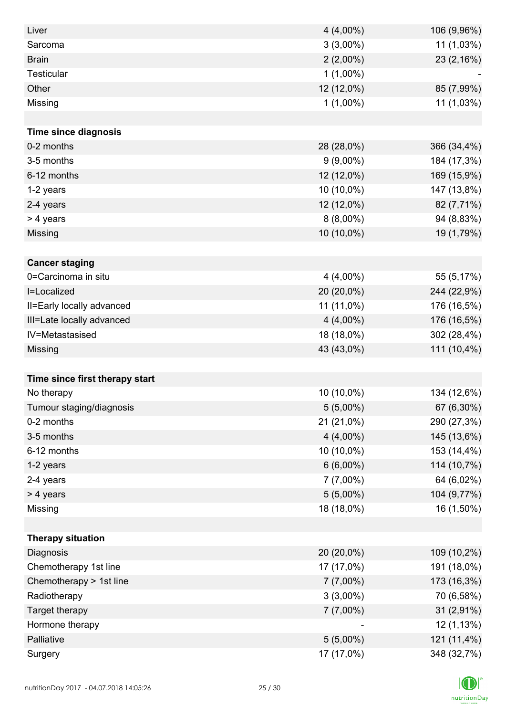| Liver                          | $4(4,00\%)$ | 106 (9,96%) |
|--------------------------------|-------------|-------------|
| Sarcoma                        | $3(3,00\%)$ | 11 (1,03%)  |
| <b>Brain</b>                   | $2(2,00\%)$ | 23 (2,16%)  |
| <b>Testicular</b>              | $1(1,00\%)$ |             |
| Other                          | 12 (12,0%)  | 85 (7,99%)  |
| Missing                        | $1(1,00\%)$ | 11 (1,03%)  |
|                                |             |             |
| <b>Time since diagnosis</b>    |             |             |
| 0-2 months                     | 28 (28,0%)  | 366 (34,4%) |
| 3-5 months                     | $9(9,00\%)$ | 184 (17,3%) |
| 6-12 months                    | 12 (12,0%)  | 169 (15,9%) |
| 1-2 years                      | 10 (10,0%)  | 147 (13,8%) |
| 2-4 years                      | 12 (12,0%)  | 82 (7,71%)  |
| > 4 years                      | $8(8,00\%)$ | 94 (8,83%)  |
| Missing                        | 10 (10,0%)  | 19 (1,79%)  |
|                                |             |             |
| <b>Cancer staging</b>          |             |             |
| 0=Carcinoma in situ            | $4(4,00\%)$ | 55 (5,17%)  |
| I=Localized                    | 20 (20,0%)  | 244 (22,9%) |
| II=Early locally advanced      | 11 (11,0%)  | 176 (16,5%) |
| III=Late locally advanced      | $4(4,00\%)$ | 176 (16,5%) |
| IV=Metastasised                | 18 (18,0%)  | 302 (28,4%) |
| Missing                        | 43 (43,0%)  | 111 (10,4%) |
|                                |             |             |
| Time since first therapy start |             |             |
| No therapy                     | 10 (10,0%)  | 134 (12,6%) |
| Tumour staging/diagnosis       | $5(5,00\%)$ | 67 (6,30%)  |
| 0-2 months                     | 21 (21,0%)  | 290 (27,3%) |
| 3-5 months                     | $4(4,00\%)$ | 145 (13,6%) |
| 6-12 months                    | 10 (10,0%)  | 153 (14,4%) |
| 1-2 years                      | $6(6,00\%)$ | 114 (10,7%) |
| 2-4 years                      | $7(7,00\%)$ | 64 (6,02%)  |
| > 4 years                      | $5(5,00\%)$ | 104 (9,77%) |
| Missing                        | 18 (18,0%)  | 16 (1,50%)  |
|                                |             |             |
| <b>Therapy situation</b>       |             |             |
| Diagnosis                      | 20 (20,0%)  | 109 (10,2%) |
| Chemotherapy 1st line          | 17 (17,0%)  | 191 (18,0%) |
| Chemotherapy > 1st line        | $7(7,00\%)$ | 173 (16,3%) |
| Radiotherapy                   | $3(3,00\%)$ | 70 (6,58%)  |
| Target therapy                 | $7(7,00\%)$ | 31 (2,91%)  |
| Hormone therapy                |             | 12 (1,13%)  |
| Palliative                     | $5(5,00\%)$ | 121 (11,4%) |
| Surgery                        | 17 (17,0%)  | 348 (32,7%) |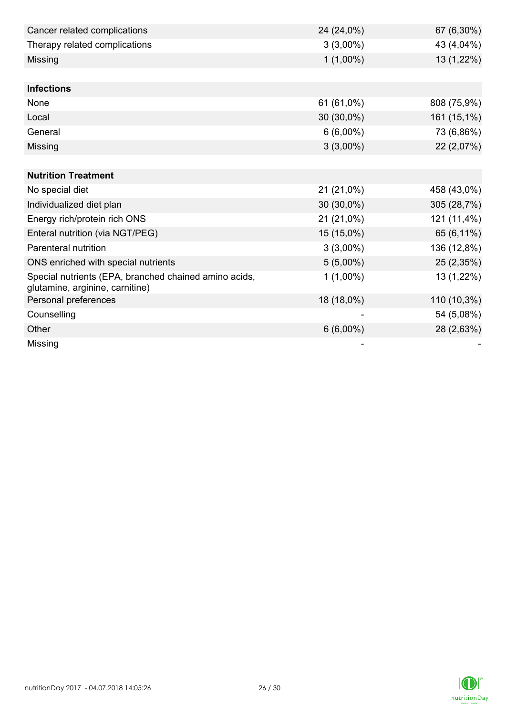| Cancer related complications                                                             | 24 (24,0%)  | 67 (6,30%)  |
|------------------------------------------------------------------------------------------|-------------|-------------|
| Therapy related complications                                                            | $3(3,00\%)$ | 43 (4,04%)  |
| Missing                                                                                  | $1(1,00\%)$ | 13 (1,22%)  |
|                                                                                          |             |             |
| <b>Infections</b>                                                                        |             |             |
| None                                                                                     | 61 (61,0%)  | 808 (75,9%) |
| Local                                                                                    | 30 (30,0%)  | 161 (15,1%) |
| General                                                                                  | $6(6,00\%)$ | 73 (6,86%)  |
| Missing                                                                                  | $3(3,00\%)$ | 22 (2,07%)  |
|                                                                                          |             |             |
| <b>Nutrition Treatment</b>                                                               |             |             |
| No special diet                                                                          | 21 (21,0%)  | 458 (43,0%) |
| Individualized diet plan                                                                 | 30 (30,0%)  | 305 (28,7%) |
| Energy rich/protein rich ONS                                                             | 21 (21,0%)  | 121 (11,4%) |
| Enteral nutrition (via NGT/PEG)                                                          | 15 (15,0%)  | 65 (6,11%)  |
| Parenteral nutrition                                                                     | $3(3,00\%)$ | 136 (12,8%) |
| ONS enriched with special nutrients                                                      | $5(5,00\%)$ | 25 (2,35%)  |
| Special nutrients (EPA, branched chained amino acids,<br>glutamine, arginine, carnitine) | $1(1,00\%)$ | 13 (1,22%)  |
| Personal preferences                                                                     | 18 (18,0%)  | 110 (10,3%) |
| Counselling                                                                              |             | 54 (5,08%)  |
| Other                                                                                    | $6(6,00\%)$ | 28 (2,63%)  |
| Missing                                                                                  |             |             |

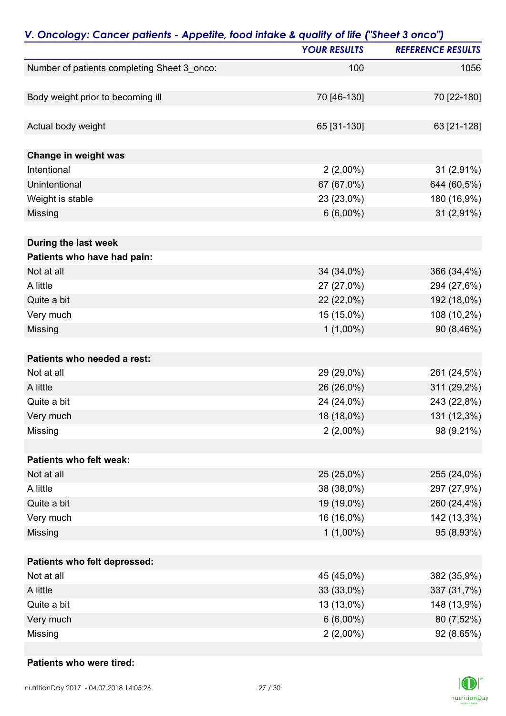| V. Oncology: Cancer patients - Appetite, food intake & quality of life ("Sheet 3 onco") |                     |                          |
|-----------------------------------------------------------------------------------------|---------------------|--------------------------|
|                                                                                         | <b>YOUR RESULTS</b> | <b>REFERENCE RESULTS</b> |
| Number of patients completing Sheet 3_onco:                                             | 100                 | 1056                     |
| Body weight prior to becoming ill                                                       | 70 [46-130]         | 70 [22-180]              |
|                                                                                         |                     |                          |
| Actual body weight                                                                      | 65 [31-130]         | 63 [21-128]              |
| Change in weight was                                                                    |                     |                          |
| Intentional                                                                             | $2(2,00\%)$         | 31 (2,91%)               |
| Unintentional                                                                           | 67 (67,0%)          | 644 (60,5%)              |
| Weight is stable                                                                        | 23 (23,0%)          | 180 (16,9%)              |
| Missing                                                                                 | $6(6,00\%)$         | 31 (2,91%)               |
| During the last week                                                                    |                     |                          |
| Patients who have had pain:                                                             |                     |                          |
| Not at all                                                                              | 34 (34,0%)          | 366 (34,4%)              |
| A little                                                                                | 27 (27,0%)          | 294 (27,6%)              |
| Quite a bit                                                                             | 22 (22,0%)          | 192 (18,0%)              |
| Very much                                                                               | 15 (15,0%)          | 108 (10,2%)              |
| Missing                                                                                 | $1(1,00\%)$         | 90 (8,46%)               |
| Patients who needed a rest:                                                             |                     |                          |
| Not at all                                                                              | 29 (29,0%)          | 261 (24,5%)              |
| A little                                                                                | 26 (26,0%)          | 311 (29,2%)              |
| Quite a bit                                                                             | 24 (24,0%)          | 243 (22,8%)              |
| Very much                                                                               | 18 (18,0%)          | 131 (12,3%)              |
| Missing                                                                                 | $2(2,00\%)$         | 98 (9,21%)               |
| Patients who felt weak:                                                                 |                     |                          |
| Not at all                                                                              | 25 (25,0%)          | 255 (24,0%)              |
| A little                                                                                | 38 (38,0%)          | 297 (27,9%)              |
| Quite a bit                                                                             | 19 (19,0%)          | 260 (24,4%)              |
| Very much                                                                               | 16 (16,0%)          | 142 (13,3%)              |
| Missing                                                                                 | $1(1,00\%)$         | 95 (8,93%)               |
| Patients who felt depressed:                                                            |                     |                          |
| Not at all                                                                              | 45 (45,0%)          | 382 (35,9%)              |
| A little                                                                                | 33 (33,0%)          | 337 (31,7%)              |
| Quite a bit                                                                             | 13 (13,0%)          | 148 (13,9%)              |
| Very much                                                                               | $6(6,00\%)$         | 80 (7,52%)               |
| Missing                                                                                 | $2(2,00\%)$         | 92 (8,65%)               |

#### **Patients who were tired:**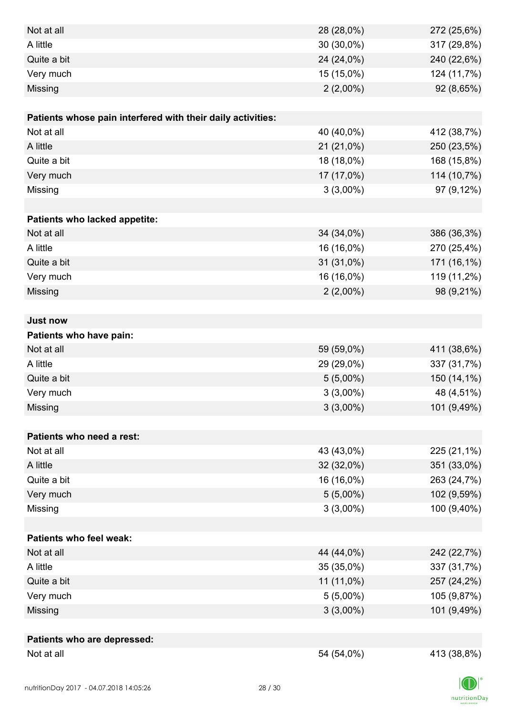| Not at all                                                  | 28 (28,0%)  | 272 (25,6%) |
|-------------------------------------------------------------|-------------|-------------|
| A little                                                    | 30 (30,0%)  | 317 (29,8%) |
| Quite a bit                                                 | 24 (24,0%)  | 240 (22,6%) |
| Very much                                                   | 15 (15,0%)  | 124 (11,7%) |
| Missing                                                     | $2(2,00\%)$ | 92 (8,65%)  |
|                                                             |             |             |
| Patients whose pain interfered with their daily activities: |             |             |
| Not at all                                                  | 40 (40,0%)  | 412 (38,7%) |
| A little                                                    | 21 (21,0%)  | 250 (23,5%) |
| Quite a bit                                                 | 18 (18,0%)  | 168 (15,8%) |
| Very much                                                   | 17 (17,0%)  | 114 (10,7%) |
| Missing                                                     | $3(3,00\%)$ | 97 (9,12%)  |
|                                                             |             |             |
| Patients who lacked appetite:                               |             |             |
| Not at all                                                  | 34 (34,0%)  | 386 (36,3%) |
| A little                                                    | 16 (16,0%)  | 270 (25,4%) |
| Quite a bit                                                 | 31 (31,0%)  | 171 (16,1%) |
| Very much                                                   | 16 (16,0%)  | 119 (11,2%) |
| Missing                                                     | $2(2,00\%)$ | 98 (9,21%)  |
|                                                             |             |             |
| <b>Just now</b>                                             |             |             |
| Patients who have pain:                                     |             |             |
| Not at all                                                  | 59 (59,0%)  | 411 (38,6%) |
| A little                                                    | 29 (29,0%)  | 337 (31,7%) |
| Quite a bit                                                 | $5(5,00\%)$ | 150 (14,1%) |
| Very much                                                   | $3(3,00\%)$ | 48 (4,51%)  |
| Missing                                                     | $3(3,00\%)$ | 101 (9,49%) |
|                                                             |             |             |
| Patients who need a rest:                                   |             |             |
| Not at all                                                  | 43 (43,0%)  | 225 (21,1%) |
| A little                                                    | 32 (32,0%)  | 351 (33,0%) |
| Quite a bit                                                 | 16 (16,0%)  | 263 (24,7%) |
| Very much                                                   | $5(5,00\%)$ | 102 (9,59%) |
| Missing                                                     | $3(3,00\%)$ | 100 (9,40%) |
|                                                             |             |             |
| <b>Patients who feel weak:</b>                              |             |             |
| Not at all                                                  | 44 (44,0%)  | 242 (22,7%) |
| A little                                                    | 35 (35,0%)  | 337 (31,7%) |
| Quite a bit                                                 | 11 (11,0%)  | 257 (24,2%) |
| Very much                                                   | $5(5,00\%)$ | 105 (9,87%) |
| Missing                                                     | $3(3,00\%)$ | 101 (9,49%) |
|                                                             |             |             |
| Patients who are depressed:                                 |             |             |
| Not at all                                                  | 54 (54,0%)  | 413 (38,8%) |

 $\Box$  $\label{eq:2} \mathsf{nutritionDay}$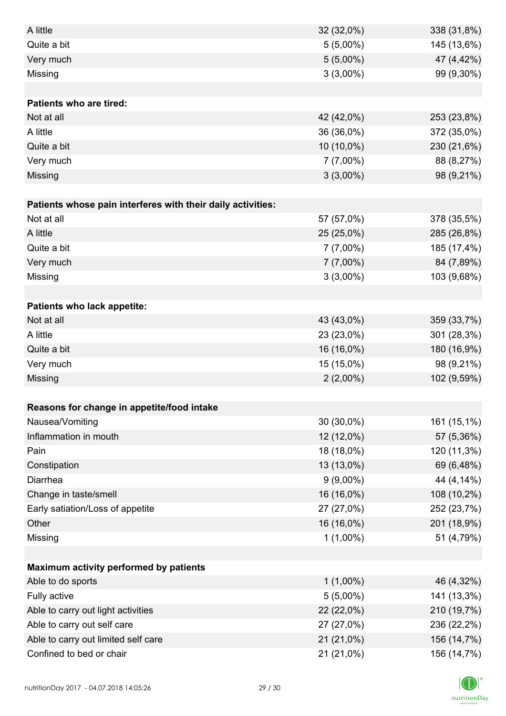| A little                                                    | 32 (32,0%)  | 338 (31,8%) |
|-------------------------------------------------------------|-------------|-------------|
| Quite a bit                                                 | $5(5,00\%)$ | 145 (13,6%) |
| Very much                                                   | $5(5,00\%)$ | 47 (4,42%)  |
| Missing                                                     | $3(3,00\%)$ | 99 (9,30%)  |
|                                                             |             |             |
| <b>Patients who are tired:</b>                              |             |             |
| Not at all                                                  | 42 (42,0%)  | 253 (23,8%) |
| A little                                                    | 36 (36,0%)  | 372 (35,0%) |
| Quite a bit                                                 | 10 (10,0%)  | 230 (21,6%) |
| Very much                                                   | $7(7,00\%)$ | 88 (8,27%)  |
| Missing                                                     | $3(3,00\%)$ | 98 (9,21%)  |
|                                                             |             |             |
| Patients whose pain interferes with their daily activities: |             |             |
| Not at all                                                  | 57 (57,0%)  | 378 (35,5%) |
| A little                                                    | 25 (25,0%)  | 285 (26,8%) |
| Quite a bit                                                 | $7(7,00\%)$ | 185 (17,4%) |
| Very much                                                   | $7(7,00\%)$ | 84 (7,89%)  |
| Missing                                                     | $3(3,00\%)$ | 103 (9,68%) |
|                                                             |             |             |
| Patients who lack appetite:                                 |             |             |
| Not at all                                                  | 43 (43,0%)  | 359 (33,7%) |
| A little                                                    | 23 (23,0%)  | 301 (28,3%) |
| Quite a bit                                                 | 16 (16,0%)  | 180 (16,9%) |
| Very much                                                   | 15 (15,0%)  | 98 (9,21%)  |
| Missing                                                     | $2(2,00\%)$ | 102 (9,59%) |
|                                                             |             |             |
| Reasons for change in appetite/food intake                  |             |             |
| Nausea/Vomiting                                             | 30 (30,0%)  | 161 (15,1%) |
| Inflammation in mouth                                       | 12 (12,0%)  | 57 (5,36%)  |
| Pain                                                        | 18 (18,0%)  | 120 (11,3%) |
| Constipation                                                | 13 (13,0%)  | 69 (6,48%)  |
| Diarrhea                                                    | $9(9,00\%)$ | 44 (4,14%)  |
| Change in taste/smell                                       | 16 (16,0%)  | 108 (10,2%) |
| Early satiation/Loss of appetite                            | 27 (27,0%)  | 252 (23,7%) |
| Other                                                       | 16 (16,0%)  | 201 (18,9%) |
| Missing                                                     | $1(1,00\%)$ | 51 (4,79%)  |
|                                                             |             |             |
| Maximum activity performed by patients                      |             |             |
| Able to do sports                                           | $1(1,00\%)$ | 46 (4,32%)  |
| Fully active                                                | $5(5,00\%)$ | 141 (13,3%) |
| Able to carry out light activities                          | 22 (22,0%)  | 210 (19,7%) |
| Able to carry out self care                                 | 27 (27,0%)  | 236 (22,2%) |
| Able to carry out limited self care                         | 21 (21,0%)  | 156 (14,7%) |
| Confined to bed or chair                                    | 21 (21,0%)  | 156 (14,7%) |